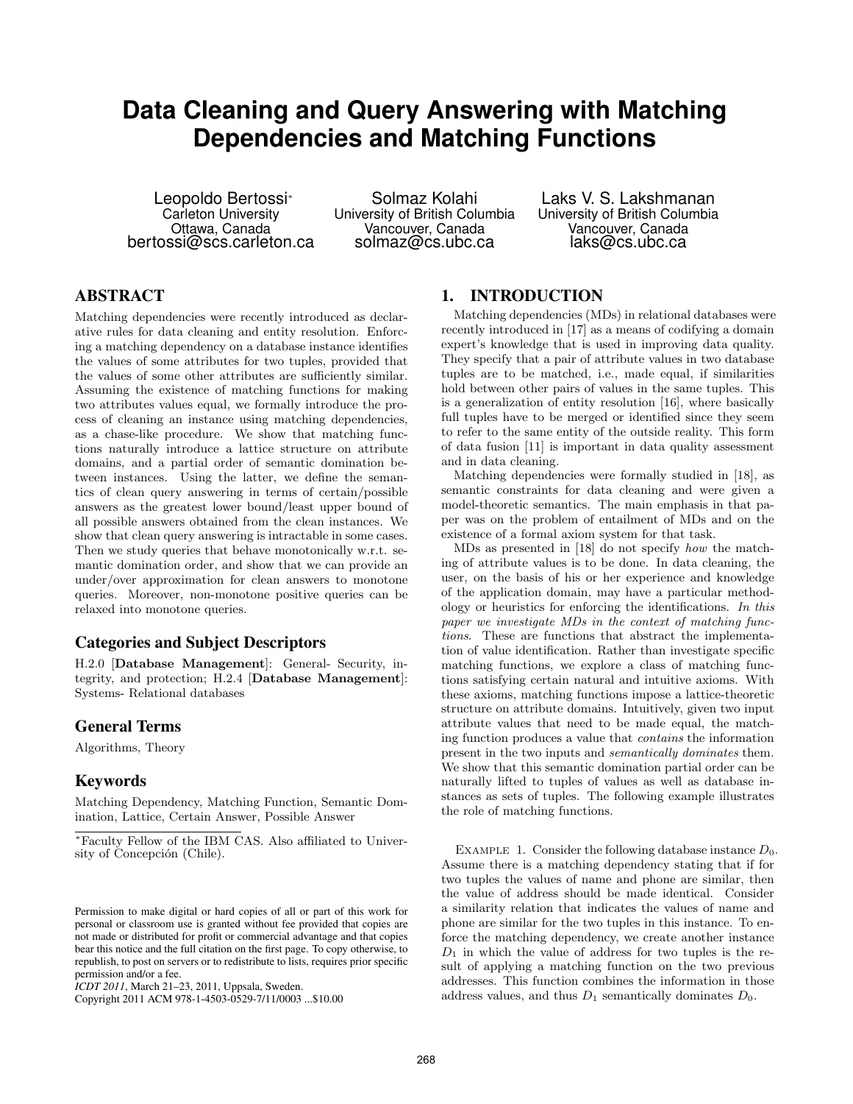# **Data Cleaning and Query Answering with Matching Dependencies and Matching Functions**

Leopoldo Bertossi<sup>∗</sup> Carleton University Ottawa, Canada bertossi@scs.carleton.ca

Solmaz Kolahi University of British Columbia Vancouver, Canada solmaz@cs.ubc.ca

Laks V. S. Lakshmanan University of British Columbia Vancouver, Canada laks@cs.ubc.ca

# ABSTRACT

Matching dependencies were recently introduced as declarative rules for data cleaning and entity resolution. Enforcing a matching dependency on a database instance identifies the values of some attributes for two tuples, provided that the values of some other attributes are sufficiently similar. Assuming the existence of matching functions for making two attributes values equal, we formally introduce the process of cleaning an instance using matching dependencies, as a chase-like procedure. We show that matching functions naturally introduce a lattice structure on attribute domains, and a partial order of semantic domination between instances. Using the latter, we define the semantics of clean query answering in terms of certain/possible answers as the greatest lower bound/least upper bound of all possible answers obtained from the clean instances. We show that clean query answering is intractable in some cases. Then we study queries that behave monotonically w.r.t. semantic domination order, and show that we can provide an under/over approximation for clean answers to monotone queries. Moreover, non-monotone positive queries can be relaxed into monotone queries.

#### Categories and Subject Descriptors

H.2.0 [Database Management]: General- Security, integrity, and protection; H.2.4 [Database Management]: Systems- Relational databases

## General Terms

Algorithms, Theory

## Keywords

Matching Dependency, Matching Function, Semantic Domination, Lattice, Certain Answer, Possible Answer

Copyright 2011 ACM 978-1-4503-0529-7/11/0003 ...\$10.00

# 1. INTRODUCTION

Matching dependencies (MDs) in relational databases were recently introduced in [17] as a means of codifying a domain expert's knowledge that is used in improving data quality. They specify that a pair of attribute values in two database tuples are to be matched, i.e., made equal, if similarities hold between other pairs of values in the same tuples. This is a generalization of entity resolution [16], where basically full tuples have to be merged or identified since they seem to refer to the same entity of the outside reality. This form of data fusion [11] is important in data quality assessment and in data cleaning.

Matching dependencies were formally studied in [18], as semantic constraints for data cleaning and were given a model-theoretic semantics. The main emphasis in that paper was on the problem of entailment of MDs and on the existence of a formal axiom system for that task.

MDs as presented in [18] do not specify how the matching of attribute values is to be done. In data cleaning, the user, on the basis of his or her experience and knowledge of the application domain, may have a particular methodology or heuristics for enforcing the identifications. In this paper we investigate MDs in the context of matching functions. These are functions that abstract the implementation of value identification. Rather than investigate specific matching functions, we explore a class of matching functions satisfying certain natural and intuitive axioms. With these axioms, matching functions impose a lattice-theoretic structure on attribute domains. Intuitively, given two input attribute values that need to be made equal, the matching function produces a value that contains the information present in the two inputs and semantically dominates them. We show that this semantic domination partial order can be naturally lifted to tuples of values as well as database instances as sets of tuples. The following example illustrates the role of matching functions.

EXAMPLE 1. Consider the following database instance  $D_0$ . Assume there is a matching dependency stating that if for two tuples the values of name and phone are similar, then the value of address should be made identical. Consider a similarity relation that indicates the values of name and phone are similar for the two tuples in this instance. To enforce the matching dependency, we create another instance  $D_1$  in which the value of address for two tuples is the result of applying a matching function on the two previous addresses. This function combines the information in those address values, and thus  $D_1$  semantically dominates  $D_0$ .

<sup>∗</sup>Faculty Fellow of the IBM CAS. Also affiliated to University of Concepción (Chile).

Permission to make digital or hard copies of all or part of this work for personal or classroom use is granted without fee provided that copies are not made or distributed for profit or commercial advantage and that copies bear this notice and the full citation on the first page. To copy otherwise, to republish, to post on servers or to redistribute to lists, requires prior specific permission and/or a fee.

*ICDT 2011*, March 21–23, 2011, Uppsala, Sweden.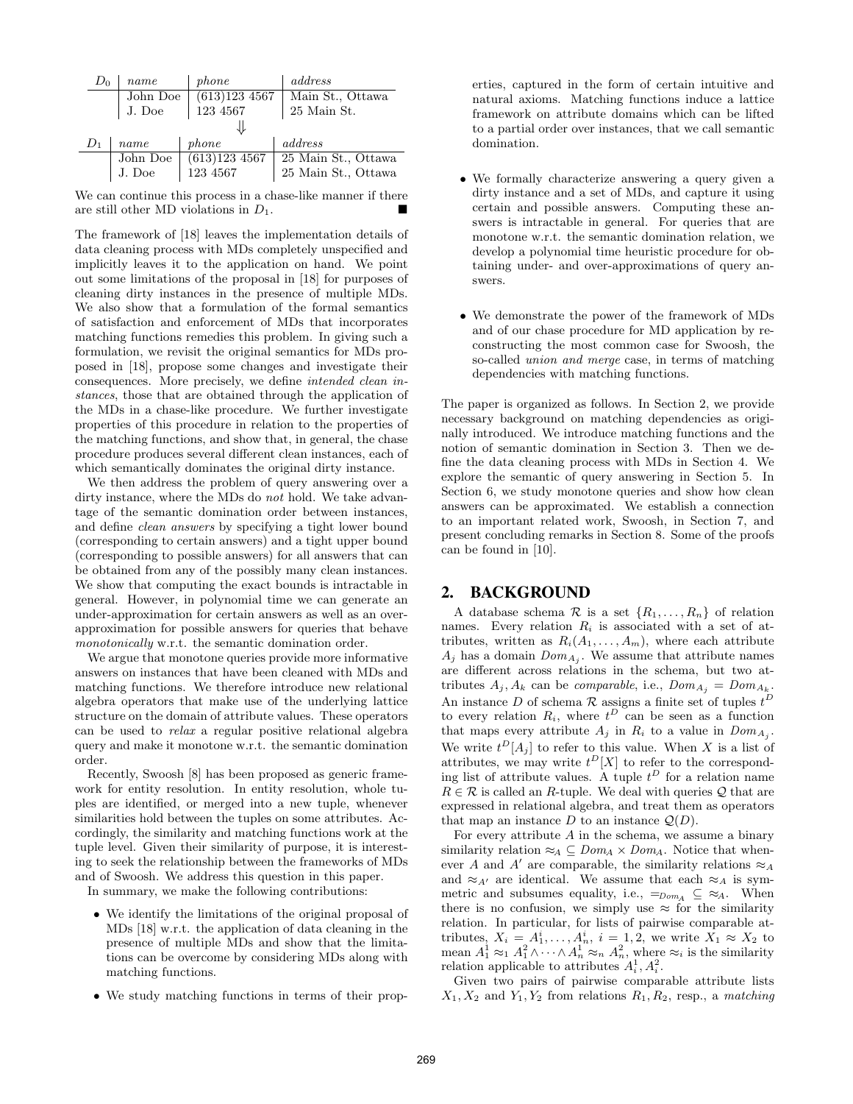| $D_0$ | name     | phone        | address             |  |
|-------|----------|--------------|---------------------|--|
|       | John Doe | (613)1234567 | Main St., Ottawa    |  |
|       | J. Doe   | $123\ 4567$  | 25 Main St.         |  |
|       |          |              |                     |  |
| $D_1$ | name     | phone        | address             |  |
|       | John Doe | (613)1234567 | 25 Main St., Ottawa |  |
|       | J. Doe   | 123 4567     | 25 Main St., Ottawa |  |

We can continue this process in a chase-like manner if there are still other MD violations in  $D_1$ .

The framework of [18] leaves the implementation details of data cleaning process with MDs completely unspecified and implicitly leaves it to the application on hand. We point out some limitations of the proposal in [18] for purposes of cleaning dirty instances in the presence of multiple MDs. We also show that a formulation of the formal semantics of satisfaction and enforcement of MDs that incorporates matching functions remedies this problem. In giving such a formulation, we revisit the original semantics for MDs proposed in [18], propose some changes and investigate their consequences. More precisely, we define intended clean instances, those that are obtained through the application of the MDs in a chase-like procedure. We further investigate properties of this procedure in relation to the properties of the matching functions, and show that, in general, the chase procedure produces several different clean instances, each of which semantically dominates the original dirty instance.

We then address the problem of query answering over a dirty instance, where the MDs do not hold. We take advantage of the semantic domination order between instances, and define clean answers by specifying a tight lower bound (corresponding to certain answers) and a tight upper bound (corresponding to possible answers) for all answers that can be obtained from any of the possibly many clean instances. We show that computing the exact bounds is intractable in general. However, in polynomial time we can generate an under-approximation for certain answers as well as an overapproximation for possible answers for queries that behave monotonically w.r.t. the semantic domination order.

We argue that monotone queries provide more informative answers on instances that have been cleaned with MDs and matching functions. We therefore introduce new relational algebra operators that make use of the underlying lattice structure on the domain of attribute values. These operators can be used to relax a regular positive relational algebra query and make it monotone w.r.t. the semantic domination order.

Recently, Swoosh [8] has been proposed as generic framework for entity resolution. In entity resolution, whole tuples are identified, or merged into a new tuple, whenever similarities hold between the tuples on some attributes. Accordingly, the similarity and matching functions work at the tuple level. Given their similarity of purpose, it is interesting to seek the relationship between the frameworks of MDs and of Swoosh. We address this question in this paper.

In summary, we make the following contributions:

- We identify the limitations of the original proposal of MDs [18] w.r.t. the application of data cleaning in the presence of multiple MDs and show that the limitations can be overcome by considering MDs along with matching functions.
- We study matching functions in terms of their prop-

erties, captured in the form of certain intuitive and natural axioms. Matching functions induce a lattice framework on attribute domains which can be lifted to a partial order over instances, that we call semantic domination.

- We formally characterize answering a query given a dirty instance and a set of MDs, and capture it using certain and possible answers. Computing these answers is intractable in general. For queries that are monotone w.r.t. the semantic domination relation, we develop a polynomial time heuristic procedure for obtaining under- and over-approximations of query answers.
- We demonstrate the power of the framework of MDs and of our chase procedure for MD application by reconstructing the most common case for Swoosh, the so-called union and merge case, in terms of matching dependencies with matching functions.

The paper is organized as follows. In Section 2, we provide necessary background on matching dependencies as originally introduced. We introduce matching functions and the notion of semantic domination in Section 3. Then we define the data cleaning process with MDs in Section 4. We explore the semantic of query answering in Section 5. In Section 6, we study monotone queries and show how clean answers can be approximated. We establish a connection to an important related work, Swoosh, in Section 7, and present concluding remarks in Section 8. Some of the proofs can be found in [10].

#### 2. BACKGROUND

A database schema  $\mathcal R$  is a set  $\{R_1, \ldots, R_n\}$  of relation names. Every relation  $R_i$  is associated with a set of attributes, written as  $R_i(A_1, \ldots, A_m)$ , where each attribute  $A_j$  has a domain  $Dom_{A_j}$ . We assume that attribute names are different across relations in the schema, but two attributes  $A_j$ ,  $A_k$  can be *comparable*, i.e.,  $Dom_{A_j} = Dom_{A_k}$ . An instance D of schema  $\mathcal R$  assigns a finite set of tuples  $t^D$ to every relation  $R_i$ , where  $t^D$  can be seen as a function that maps every attribute  $A_j$  in  $R_i$  to a value in  $Dom_{A_j}$ . We write  $t^D[A_j]$  to refer to this value. When X is a list of attributes, we may write  $t^D[X]$  to refer to the corresponding list of attribute values. A tuple  $t^D$  for a relation name  $R \in \mathcal{R}$  is called an R-tuple. We deal with queries  $\mathcal{Q}$  that are expressed in relational algebra, and treat them as operators that map an instance  $D$  to an instance  $Q(D)$ .

For every attribute  $A$  in the schema, we assume a binary similarity relation  $\approx_A \subset Dom_A \times Dom_A$ . Notice that whenever A and A' are comparable, the similarity relations  $\approx_A$ and  $\approx_{A'}$  are identical. We assume that each  $\approx_A$  is symmetric and subsumes equality, i.e.,  $=_{Dom_A} \subseteq \approx_A$ . When there is no confusion, we simply use  $\approx$  for the similarity relation. In particular, for lists of pairwise comparable attributes,  $X_i = A_1^i, \ldots, A_n^i, i = 1, 2$ , we write  $X_1 \approx X_2$  to mean  $A_1^1 \approx_1 A_1^2 \wedge \cdots \wedge A_n^1 \approx_n A_n^2$ , where  $\approx_i$  is the similarity relation applicable to attributes  $A_i^1, A_i^2$ .

Given two pairs of pairwise comparable attribute lists  $X_1, X_2$  and  $Y_1, Y_2$  from relations  $R_1, R_2$ , resp., a matching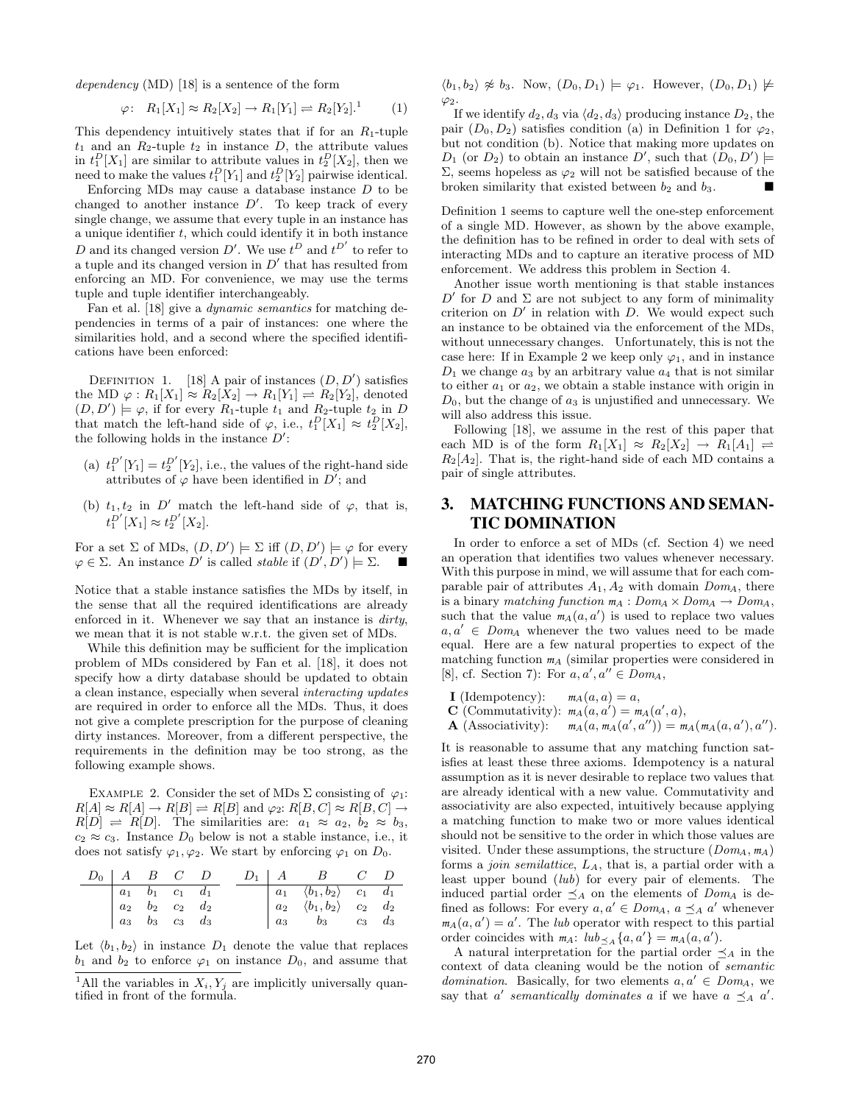dependency (MD) [18] is a sentence of the form

$$
\varphi: R_1[X_1] \approx R_2[X_2] \to R_1[Y_1] \rightleftharpoons R_2[Y_2].^1 \tag{1}
$$

This dependency intuitively states that if for an  $R_1$ -tuple  $t_1$  and an  $R_2$ -tuple  $t_2$  in instance D, the attribute values in  $t_1^D[X_1]$  are similar to attribute values in  $t_2^D[X_2]$ , then we need to make the values  $t_1^D[Y_1]$  and  $t_2^D[Y_2]$  pairwise identical.

Enforcing MDs may cause a database instance  $D$  to be changed to another instance  $D'$ . To keep track of every single change, we assume that every tuple in an instance has a unique identifier  $t$ , which could identify it in both instance D and its changed version D'. We use  $t^D$  and  $t^{D'}$  to refer to a tuple and its changed version in  $D'$  that has resulted from enforcing an MD. For convenience, we may use the terms tuple and tuple identifier interchangeably.

Fan et al. [18] give a *dynamic semantics* for matching dependencies in terms of a pair of instances: one where the similarities hold, and a second where the specified identifications have been enforced:

DEFINITION 1. [18] A pair of instances  $(D, D')$  satisfies the MD  $\varphi: R_1[X_1] \approx R_2[X_2] \to R_1[Y_1] \rightleftharpoons R_2[Y_2]$ , denoted  $(D, D') \models \varphi$ , if for every  $R_1$ -tuple  $t_1$  and  $R_2$ -tuple  $t_2$  in D that match the left-hand side of  $\varphi$ , i.e.,  $t_1^D[X_1] \approx t_2^D[X_2]$ , the following holds in the instance  $D'$ :

- (a)  $t_1^{D'}[Y_1] = t_2^{D'}[Y_2]$ , i.e., the values of the right-hand side attributes of  $\varphi$  have been identified in  $D'$ ; and
- (b)  $t_1, t_2$  in D' match the left-hand side of  $\varphi$ , that is,  $t_1^{D'}[X_1] \approx t_2^{D'}[X_2].$

For a set  $\Sigma$  of MDs,  $(D, D') \models \Sigma$  iff  $(D, D') \models \varphi$  for every  $\varphi \in \Sigma$ . An instance D' is called *stable* if  $(D', D') \models \Sigma$ .

Notice that a stable instance satisfies the MDs by itself, in the sense that all the required identifications are already enforced in it. Whenever we say that an instance is dirty, we mean that it is not stable w.r.t. the given set of MDs.

While this definition may be sufficient for the implication problem of MDs considered by Fan et al. [18], it does not specify how a dirty database should be updated to obtain a clean instance, especially when several interacting updates are required in order to enforce all the MDs. Thus, it does not give a complete prescription for the purpose of cleaning dirty instances. Moreover, from a different perspective, the requirements in the definition may be too strong, as the following example shows.

EXAMPLE 2. Consider the set of MDs  $\Sigma$  consisting of  $\varphi_1$ :  $R[A] \approx R[A] \rightarrow R[B] \rightleftharpoons R[B]$  and  $\varphi_2: R[B, C] \approx R[B, C] \rightarrow$  $R[D] \implies R[D]$ . The similarities are:  $a_1 \approx a_2, b_2 \approx b_3$ ,  $c_2 \approx c_3$ . Instance  $D_0$  below is not a stable instance, i.e., it does not satisfy  $\varphi_1, \varphi_2$ . We start by enforcing  $\varphi_1$  on  $D_0$ .

| $D_0$   A B C D                                                                                         |  |  |  | $D_1$   A   B   C   D                                                                                                                                                |  |
|---------------------------------------------------------------------------------------------------------|--|--|--|----------------------------------------------------------------------------------------------------------------------------------------------------------------------|--|
|                                                                                                         |  |  |  |                                                                                                                                                                      |  |
|                                                                                                         |  |  |  |                                                                                                                                                                      |  |
| $\begin{vmatrix} a_1 & b_1 & c_1 & d_1 \\ a_2 & b_2 & c_2 & d_2 \\ a_3 & b_3 & c_3 & d_3 \end{vmatrix}$ |  |  |  | $\begin{array}{ c c c } \hline a_1 & \langle b_1, b_2 \rangle & c_1 & d_1 \ a_2 & \langle b_1, b_2 \rangle & c_2 & d_2 \ a_3 & b_3 & c_3 & d_3 \ \hline \end{array}$ |  |

Let  $\langle b_1, b_2 \rangle$  in instance  $D_1$  denote the value that replaces  $b_1$  and  $b_2$  to enforce  $\varphi_1$  on instance  $D_0$ , and assume that

 $\langle b_1, b_2 \rangle \not\approx b_3$ . Now,  $(D_0, D_1) \models \varphi_1$ . However,  $(D_0, D_1) \not\models$  $\varphi_2.$ 

If we identify  $d_2, d_3$  via  $\langle d_2, d_3 \rangle$  producing instance  $D_2$ , the pair  $(D_0, D_2)$  satisfies condition (a) in Definition 1 for  $\varphi_2$ , but not condition (b). Notice that making more updates on  $D_1$  (or  $D_2$ ) to obtain an instance  $D'$ , such that  $(D_0, D') \models$ Σ, seems hopeless as  $\varphi_2$  will not be satisfied because of the broken similarity that existed between  $b_2$  and  $b_3$ .

Definition 1 seems to capture well the one-step enforcement of a single MD. However, as shown by the above example, the definition has to be refined in order to deal with sets of interacting MDs and to capture an iterative process of MD enforcement. We address this problem in Section 4.

Another issue worth mentioning is that stable instances  $D'$  for D and  $\Sigma$  are not subject to any form of minimality criterion on  $D'$  in relation with  $D$ . We would expect such an instance to be obtained via the enforcement of the MDs, without unnecessary changes. Unfortunately, this is not the case here: If in Example 2 we keep only  $\varphi_1$ , and in instance  $D_1$  we change  $a_3$  by an arbitrary value  $a_4$  that is not similar to either  $a_1$  or  $a_2$ , we obtain a stable instance with origin in  $D_0$ , but the change of  $a_3$  is unjustified and unnecessary. We will also address this issue.

Following [18], we assume in the rest of this paper that each MD is of the form  $R_1[X_1] \approx R_2[X_2] \rightarrow R_1[A_1] \rightleftharpoons$  $R_2[A_2]$ . That is, the right-hand side of each MD contains a pair of single attributes.

# 3. MATCHING FUNCTIONS AND SEMAN-TIC DOMINATION

In order to enforce a set of MDs (cf. Section 4) we need an operation that identifies two values whenever necessary. With this purpose in mind, we will assume that for each comparable pair of attributes  $A_1, A_2$  with domain  $Dom_A$ , there is a binary matching function  $m_A : Dom_A \times Dom_A \rightarrow Dom_A$ , such that the value  $m_A(a, a')$  is used to replace two values  $a, a' \in Dom_A$  whenever the two values need to be made equal. Here are a few natural properties to expect of the matching function *m*<sup>A</sup> (similar properties were considered in [8], cf. Section 7): For  $a, a', a'' \in Dom_A$ ,

| I (Idempotency): | $m_A(a,a) = a$                                                           |
|------------------|--------------------------------------------------------------------------|
|                  | <b>C</b> (Commutativity): $m_A(a, a') = m_A(a', a)$ ,                    |
|                  | <b>A</b> (Associativity): $m_A(a, m_A(a', a'')) = m_A(m_A(a, a'), a'').$ |

It is reasonable to assume that any matching function satisfies at least these three axioms. Idempotency is a natural assumption as it is never desirable to replace two values that are already identical with a new value. Commutativity and associativity are also expected, intuitively because applying a matching function to make two or more values identical should not be sensitive to the order in which those values are visited. Under these assumptions, the structure  $(Dom_A, m_A)$ forms a *join semilattice*,  $L_A$ , that is, a partial order with a least upper bound (lub) for every pair of elements. The induced partial order  $\prec_A$  on the elements of *Dom<sub>A</sub>* is defined as follows: For every  $a, a' \in Dom_A$ ,  $a \preceq_A a'$  whenever  $m_A(a, a') = a'$ . The *lub* operator with respect to this partial order coincides with  $m_A$ :  $lub_{\leq A}\{a, a'\} = m_A(a, a').$ 

A natural interpretation for the partial order  $\preceq_A$  in the context of data cleaning would be the notion of semantic *domination.* Basically, for two elements  $a, a' \in Dom_A$ , we say that a' semantically dominates a if we have  $a \preceq_A a'$ .

<sup>&</sup>lt;sup>1</sup>All the variables in  $X_i, Y_j$  are implicitly universally quantified in front of the formula.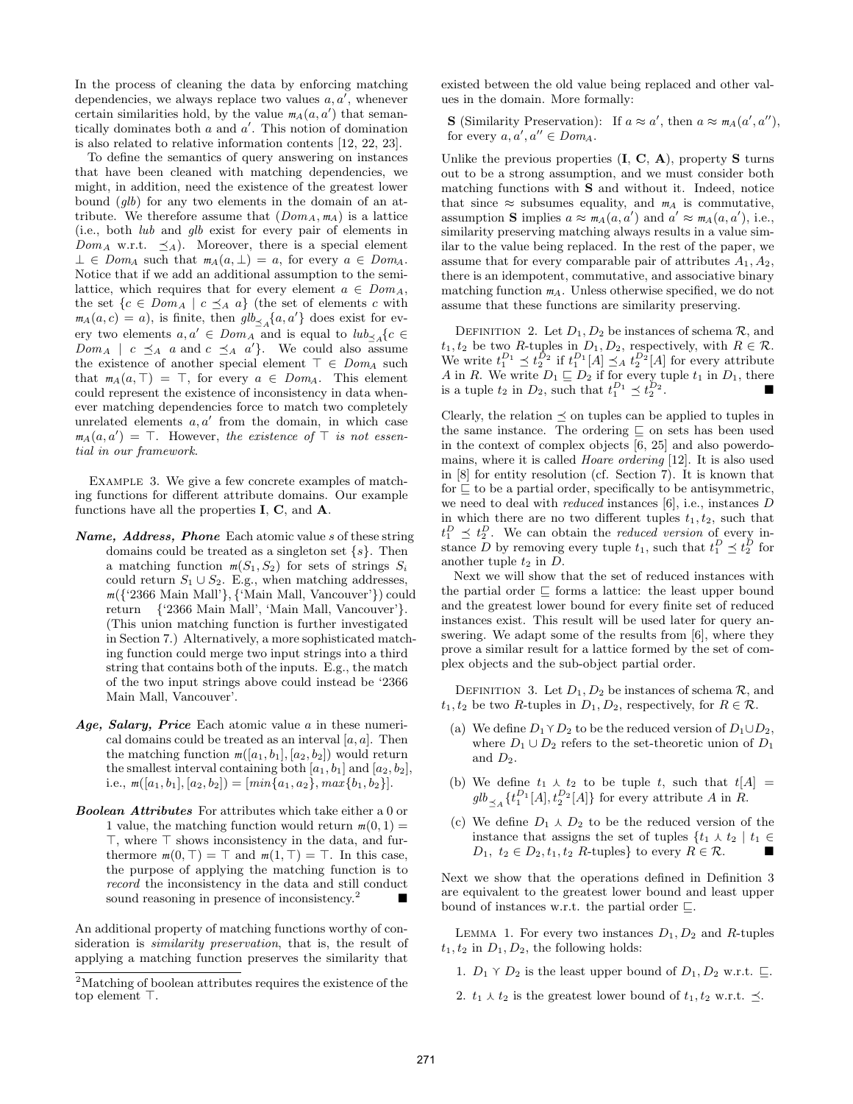In the process of cleaning the data by enforcing matching dependencies, we always replace two values  $a, a'$ , whenever certain similarities hold, by the value  $m_A(a, a')$  that semantically dominates both  $a$  and  $a'$ . This notion of domination is also related to relative information contents [12, 22, 23].

To define the semantics of query answering on instances that have been cleaned with matching dependencies, we might, in addition, need the existence of the greatest lower bound  $(glb)$  for any two elements in the domain of an attribute. We therefore assume that  $(Dom_A, m_A)$  is a lattice (i.e., both lub and glb exist for every pair of elements in  $Dom_A$  w.r.t.  $\preceq_A$ ). Moreover, there is a special element  $\bot \in Dom_A$  such that  $m_A(a, \bot) = a$ , for every  $a \in Dom_A$ . Notice that if we add an additional assumption to the semilattice, which requires that for every element  $a \in Dom_A$ , the set  $\{c \in Dom_A \mid c \preceq_A a\}$  (the set of elements c with  $m_A(a, c) = a$ , is finite, then  $glb_{\preceq_A}\{a, a'\}$  does exist for every two elements  $a, a' \in Dom_A$  and is equal to  $lub_{\preceq A}\{c \in$  $Dom_A \mid c \preceq_A a$  and  $c \preceq_A a'$ . We could also assume the existence of another special element  $\top \in Dom_A$  such that  $m_A(a, \top) = \top$ , for every  $a \in Dom_A$ . This element could represent the existence of inconsistency in data whenever matching dependencies force to match two completely unrelated elements  $a, a'$  from the domain, in which case  $m_A(a, a') = \top$ . However, the existence of  $\top$  is not essential in our framework.

Example 3. We give a few concrete examples of matching functions for different attribute domains. Our example functions have all the properties  $I, C$ , and  $A$ .

- Name, Address, Phone Each atomic value s of these string domains could be treated as a singleton set  $\{s\}$ . Then a matching function  $m(S_1, S_2)$  for sets of strings  $S_i$ could return  $S_1 \cup S_2$ . E.g., when matching addresses, *m*({'2366 Main Mall'}, {'Main Mall, Vancouver'}) could return {'2366 Main Mall', 'Main Mall, Vancouver'}. (This union matching function is further investigated in Section 7.) Alternatively, a more sophisticated matching function could merge two input strings into a third string that contains both of the inputs. E.g., the match of the two input strings above could instead be '2366 Main Mall, Vancouver'.
- Age, Salary, Price Each atomic value a in these numerical domains could be treated as an interval  $[a, a]$ . Then the matching function  $m([a_1, b_1], [a_2, b_2])$  would return the smallest interval containing both  $[a_1, b_1]$  and  $[a_2, b_2]$ , i.e.,  $m([a_1, b_1], [a_2, b_2]) = [min\{a_1, a_2\}, max\{b_1, b_2\}].$
- Boolean Attributes For attributes which take either a 0 or 1 value, the matching function would return  $m(0, 1) =$  $\top$ , where  $\top$  shows inconsistency in the data, and furthermore  $m(0, T) = T$  and  $m(1, T) = T$ . In this case, the purpose of applying the matching function is to record the inconsistency in the data and still conduct sound reasoning in presence of inconsistency.<sup>2</sup>

An additional property of matching functions worthy of consideration is *similarity preservation*, that is, the result of applying a matching function preserves the similarity that

existed between the old value being replaced and other values in the domain. More formally:

**S** (Similarity Preservation): If  $a \approx a'$ , then  $a \approx m_A(a', a'')$ , for every  $a, a', a'' \in Dom_A$ .

Unlike the previous properties  $(I, C, A)$ , property S turns out to be a strong assumption, and we must consider both matching functions with S and without it. Indeed, notice that since  $\approx$  subsumes equality, and  $m_A$  is commutative, assumption **S** implies  $a \approx m_A(a, a')$  and  $a' \approx m_A(a, a')$ , i.e., similarity preserving matching always results in a value similar to the value being replaced. In the rest of the paper, we assume that for every comparable pair of attributes  $A_1, A_2,$ there is an idempotent, commutative, and associative binary matching function  $m_A$ . Unless otherwise specified, we do not assume that these functions are similarity preserving.

DEFINITION 2. Let  $D_1, D_2$  be instances of schema  $\mathcal{R}$ , and  $t_1, t_2$  be two R-tuples in  $D_1, D_2$ , respectively, with  $R \in \mathcal{R}$ . We write  $t_1^{D_1} \preceq t_2^{D_2}$  if  $t_1^{D_1}[A] \preceq_A t_2^{D_2}[A]$  for every attribute A in R. We write  $D_1 \sqsubseteq D_2$  if for every tuple  $t_1$  in  $D_1$ , there is a tuple  $t_2$  in  $D_2$ , such that  $t_1^{D_1} \preceq t_2^{D_2}$ .

Clearly, the relation  $\preceq$  on tuples can be applied to tuples in the same instance. The ordering  $\Box$  on sets has been used in the context of complex objects [6, 25] and also powerdomains, where it is called *Hoare ordering* [12]. It is also used in [8] for entity resolution (cf. Section 7). It is known that for  $\sqsubseteq$  to be a partial order, specifically to be antisymmetric, we need to deal with *reduced* instances  $[6]$ , i.e., instances  $D$ in which there are no two different tuples  $t_1, t_2$ , such that  $t_1^D \preceq t_2^D$ . We can obtain the *reduced version* of every instance D by removing every tuple  $t_1$ , such that  $t_1^D \preceq t_2^D$  for another tuple  $t_2$  in  $D$ .

Next we will show that the set of reduced instances with the partial order  $\subseteq$  forms a lattice: the least upper bound and the greatest lower bound for every finite set of reduced instances exist. This result will be used later for query answering. We adapt some of the results from [6], where they prove a similar result for a lattice formed by the set of complex objects and the sub-object partial order.

DEFINITION 3. Let  $D_1, D_2$  be instances of schema  $\mathcal{R}$ , and  $t_1, t_2$  be two R-tuples in  $D_1, D_2$ , respectively, for  $R \in \mathcal{R}$ .

- (a) We define  $D_1 \gamma D_2$  to be the reduced version of  $D_1 \cup D_2$ , where  $D_1 \cup D_2$  refers to the set-theoretic union of  $D_1$ and  $D_2$ .
- (b) We define  $t_1 \wedge t_2$  to be tuple t, such that  $t[A] =$  $glb_{\preceq A} \{t_1^{D_1}[A], t_2^{D_2}[A]\}$  for every attribute A in R.
- (c) We define  $D_1 \wedge D_2$  to be the reduced version of the instance that assigns the set of tuples  $\{t_1 \wedge t_2 \mid t_1 \in$  $D_1, t_2 \in D_2, t_1, t_2 \text{ } R\text{-tuples}$  to every  $R \in \mathcal{R}$ .

Next we show that the operations defined in Definition 3 are equivalent to the greatest lower bound and least upper bound of instances w.r.t. the partial order  $\sqsubseteq$ .

LEMMA 1. For every two instances  $D_1, D_2$  and R-tuples  $t_1, t_2$  in  $D_1, D_2$ , the following holds:

1.  $D_1 \nightharpoonup D_2$  is the least upper bound of  $D_1, D_2$  w.r.t.  $\sqsubseteq$ .

2.  $t_1 \wedge t_2$  is the greatest lower bound of  $t_1, t_2$  w.r.t.  $\preceq$ .

<sup>2</sup>Matching of boolean attributes requires the existence of the top element  $\top$ .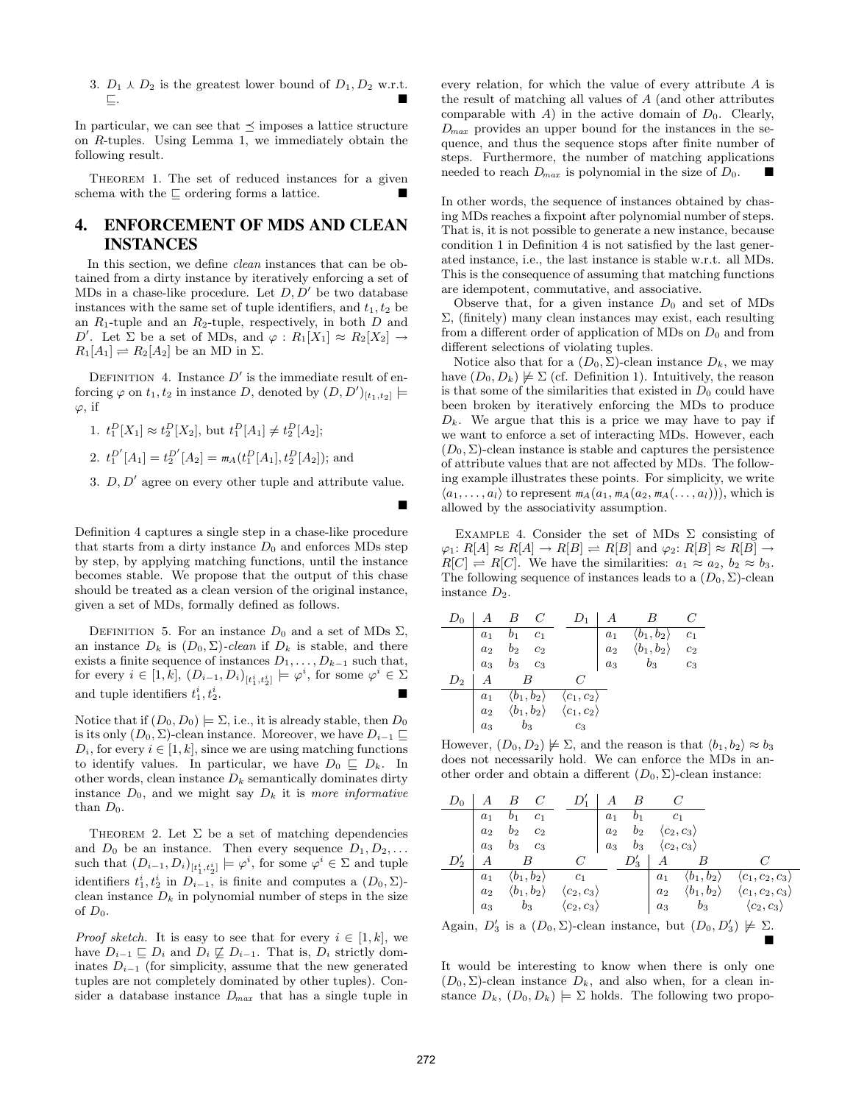3.  $D_1 \wedge D_2$  is the greatest lower bound of  $D_1, D_2$  w.r.t.  $\sqsubseteq$  . And the contract of the contract of the contract of the contract of the contract of the contract of

In particular, we can see that  $\prec$  imposes a lattice structure on R-tuples. Using Lemma 1, we immediately obtain the following result.

THEOREM 1. The set of reduced instances for a given schema with the  $\Box$  ordering forms a lattice.

# 4. ENFORCEMENT OF MDS AND CLEAN INSTANCES

In this section, we define *clean* instances that can be obtained from a dirty instance by iteratively enforcing a set of MDs in a chase-like procedure. Let  $D, D'$  be two database instances with the same set of tuple identifiers, and  $t_1, t_2$  be an  $R_1$ -tuple and an  $R_2$ -tuple, respectively, in both  $D$  and D'. Let  $\Sigma$  be a set of MDs, and  $\varphi: R_1[X_1] \approx R_2[X_2] \rightarrow$  $R_1[A_1] \rightleftharpoons R_2[A_2]$  be an MD in  $\Sigma$ .

DEFINITION 4. Instance  $D'$  is the immediate result of enforcing  $\varphi$  on  $t_1, t_2$  in instance D, denoted by  $(D, D')_{[t_1, t_2]} \models$  $\varphi$ , if

- 1.  $t_1^D[X_1] \approx t_2^D[X_2]$ , but  $t_1^D[A_1] \neq t_2^D[A_2]$ ; 2.  $t_1^{D'}[A_1] = t_2^{D'}[A_2] = \mathfrak{m}_A(t_1^D[A_1], t_2^D[A_2])$ ; and
- 3.  $D, D'$  agree on every other tuple and attribute value. abcompanies and a series of the contract of the contract of the contract of

Definition 4 captures a single step in a chase-like procedure that starts from a dirty instance  $D_0$  and enforces MDs step by step, by applying matching functions, until the instance becomes stable. We propose that the output of this chase should be treated as a clean version of the original instance, given a set of MDs, formally defined as follows.

DEFINITION 5. For an instance  $D_0$  and a set of MDs  $\Sigma$ , an instance  $D_k$  is  $(D_0, \Sigma)$ -clean if  $D_k$  is stable, and there exists a finite sequence of instances  $D_1, \ldots, D_{k-1}$  such that, for every  $i \in [1, k]$ ,  $(D_{i-1}, D_i)_{[t_1^i, t_2^i]} \models \varphi^i$ , for some  $\varphi^i \in \Sigma$ and tuple identifiers  $t_1^i, t_2^i$  $\frac{i}{2}$ .

Notice that if  $(D_0, D_0) \models \Sigma$ , i.e., it is already stable, then  $D_0$ is its only  $(D_0, \Sigma)$ -clean instance. Moreover, we have  $D_{i-1} \sqsubseteq$  $D_i$ , for every  $i \in [1, k]$ , since we are using matching functions to identify values. In particular, we have  $D_0 \subseteq D_k$ . In other words, clean instance  $D_k$  semantically dominates dirty instance  $D_0$ , and we might say  $D_k$  it is more informative than  $D_0$ .

THEOREM 2. Let  $\Sigma$  be a set of matching dependencies and  $D_0$  be an instance. Then every sequence  $D_1, D_2, \ldots$ such that  $(D_{i-1}, D_i)_{[t_1^i, t_2^i]} \models \varphi^i$ , for some  $\varphi^i \in \Sigma$  and tuple identifiers  $t_1^i, t_2^i$  in  $D_{i-1}$ , is finite and computes a  $(D_0, \Sigma)$ clean instance  $D_k$  in polynomial number of steps in the size of  $D_0$ .

*Proof sketch*. It is easy to see that for every  $i \in [1, k]$ , we have  $D_{i-1} \sqsubseteq D_i$  and  $D_i \not\sqsubseteq D_{i-1}$ . That is,  $D_i$  strictly dominates  $D_{i-1}$  (for simplicity, assume that the new generated tuples are not completely dominated by other tuples). Consider a database instance  $D_{max}$  that has a single tuple in every relation, for which the value of every attribute A is the result of matching all values of A (and other attributes comparable with A) in the active domain of  $D_0$ . Clearly,  $D_{max}$  provides an upper bound for the instances in the sequence, and thus the sequence stops after finite number of steps. Furthermore, the number of matching applications needed to reach  $D_{max}$  is polynomial in the size of  $D_0$ .

In other words, the sequence of instances obtained by chasing MDs reaches a fixpoint after polynomial number of steps. That is, it is not possible to generate a new instance, because condition 1 in Definition 4 is not satisfied by the last generated instance, i.e., the last instance is stable w.r.t. all MDs. This is the consequence of assuming that matching functions are idempotent, commutative, and associative.

Observe that, for a given instance  $D_0$  and set of MDs Σ, (finitely) many clean instances may exist, each resulting from a different order of application of MDs on  $D_0$  and from different selections of violating tuples.

Notice also that for a  $(D_0, \Sigma)$ -clean instance  $D_k$ , we may have  $(D_0, D_k) \not\models \Sigma$  (cf. Definition 1). Intuitively, the reason is that some of the similarities that existed in  $D_0$  could have been broken by iteratively enforcing the MDs to produce  $D_k$ . We argue that this is a price we may have to pay if we want to enforce a set of interacting MDs. However, each  $(D_0, \Sigma)$ -clean instance is stable and captures the persistence of attribute values that are not affected by MDs. The following example illustrates these points. For simplicity, we write  $\langle a_1, \ldots, a_l \rangle$  to represent  $m_A(a_1, m_A(a_2, m_A(\ldots, a_l)))$ , which is allowed by the associativity assumption.

EXAMPLE 4. Consider the set of MDs  $\Sigma$  consisting of  $\varphi_1: R[A] \approx R[A] \rightarrow R[B] \rightleftharpoons R[B]$  and  $\varphi_2: R[B] \approx R[B] \rightarrow$  $R[C] \rightleftharpoons R[C]$ . We have the similarities:  $a_1 \approx a_2, b_2 \approx b_3$ . The following sequence of instances leads to a  $(D_0, \Sigma)$ -clean instance  $D_2$ .

|       |                                                                                        | $B$ $C$ |                                                                                                                                                                                                                   |                                                                                                                            |  |
|-------|----------------------------------------------------------------------------------------|---------|-------------------------------------------------------------------------------------------------------------------------------------------------------------------------------------------------------------------|----------------------------------------------------------------------------------------------------------------------------|--|
|       | $\begin{array}{ccc} a_1 & b_1 & c_1 \\ a_2 & b_2 & c_2 \\ a_3 & b_3 & c_3 \end{array}$ |         |                                                                                                                                                                                                                   | $\begin{array}{ccc} a_1 & \langle b_1,b_2\rangle & c_1 \ a_2 & \langle b_1,b_2\rangle & c_2 \ a_3 & b_3 & c_3 \end{array}$ |  |
|       |                                                                                        |         |                                                                                                                                                                                                                   |                                                                                                                            |  |
|       |                                                                                        |         |                                                                                                                                                                                                                   |                                                                                                                            |  |
|       |                                                                                        |         |                                                                                                                                                                                                                   |                                                                                                                            |  |
| $D_2$ |                                                                                        |         |                                                                                                                                                                                                                   |                                                                                                                            |  |
|       |                                                                                        |         |                                                                                                                                                                                                                   |                                                                                                                            |  |
|       |                                                                                        |         | $\begin{array}{ccc} \hline a_1&\left\langle b_1,b_2\right\rangle&\left\langle c_1,c_2\right\rangle\ a_2&\left\langle b_1,b_2\right\rangle&\left\langle c_1,c_2\right\rangle\ a_3&\quad b_3&\quad c_3 \end{array}$ |                                                                                                                            |  |

However,  $(D_0, D_2) \not\models \Sigma$ , and the reason is that  $\langle b_1, b_2 \rangle \approx b_3$ does not necessarily hold. We can enforce the MDs in another order and obtain a different  $(D_0, \Sigma)$ -clean instance:

| $D_0$ |                  |                  |       |                                                                                                                             |       |                                                |       |                             |                                                                                                                                          |
|-------|------------------|------------------|-------|-----------------------------------------------------------------------------------------------------------------------------|-------|------------------------------------------------|-------|-----------------------------|------------------------------------------------------------------------------------------------------------------------------------------|
|       | $a_1$            | $b_1 \quad c_1$  |       |                                                                                                                             | $a_1$ | $b_1$                                          |       | $c_1$                       |                                                                                                                                          |
|       | $a_2$            | $\mathfrak{b}_2$ | $c_2$ |                                                                                                                             |       | $a_2 \quad b_2 \quad \langle c_2, c_3 \rangle$ |       |                             |                                                                                                                                          |
|       | $a_3$            | $b_3$ $c_3$      |       |                                                                                                                             |       | $a_3$ $b_3$ $\langle c_2, c_3 \rangle$         |       |                             |                                                                                                                                          |
| D',   | $\boldsymbol{A}$ | $\overline{B}$   |       | $\,C$                                                                                                                       |       |                                                |       | $D'_3 \parallel A \qquad B$ |                                                                                                                                          |
|       | $a_1$            |                  |       | $\begin{array}{ccc} a_1 & \langle b_1,b_2\rangle & c_1 \ a_2 & \langle b_1,b_2\rangle & \langle c_2,c_3\rangle \end{array}$ |       |                                                | $a_1$ |                             | $\overline{\langle b_1, b_2 \rangle} \quad \langle c_1, c_2, c_3 \rangle \ \langle b_1, b_2 \rangle \quad \langle c_1, c_2, c_3 \rangle$ |
|       |                  |                  |       |                                                                                                                             |       |                                                | $a_2$ |                             |                                                                                                                                          |
|       |                  |                  |       | $a_3$ $b_3$ $\langle c_2, c_3 \rangle$                                                                                      |       |                                                |       |                             | $a_3$ $b_3$ $\langle c_2, c_3 \rangle$                                                                                                   |
|       |                  |                  |       |                                                                                                                             |       |                                                |       |                             | Again $D'_2$ is a $(D_2, \Sigma)$ -clean instance but $(D_2, D'_2) \not\models \Sigma$                                                   |

Again,  $D'_3$  is a  $(D_0, \Sigma)$ -clean instance, but  $(D_0, D'_3) \not\models \Sigma$ .  $\mathbf{a}$ 

It would be interesting to know when there is only one  $(D_0, \Sigma)$ -clean instance  $D_k$ , and also when, for a clean instance  $D_k$ ,  $(D_0, D_k) \models \Sigma$  holds. The following two propo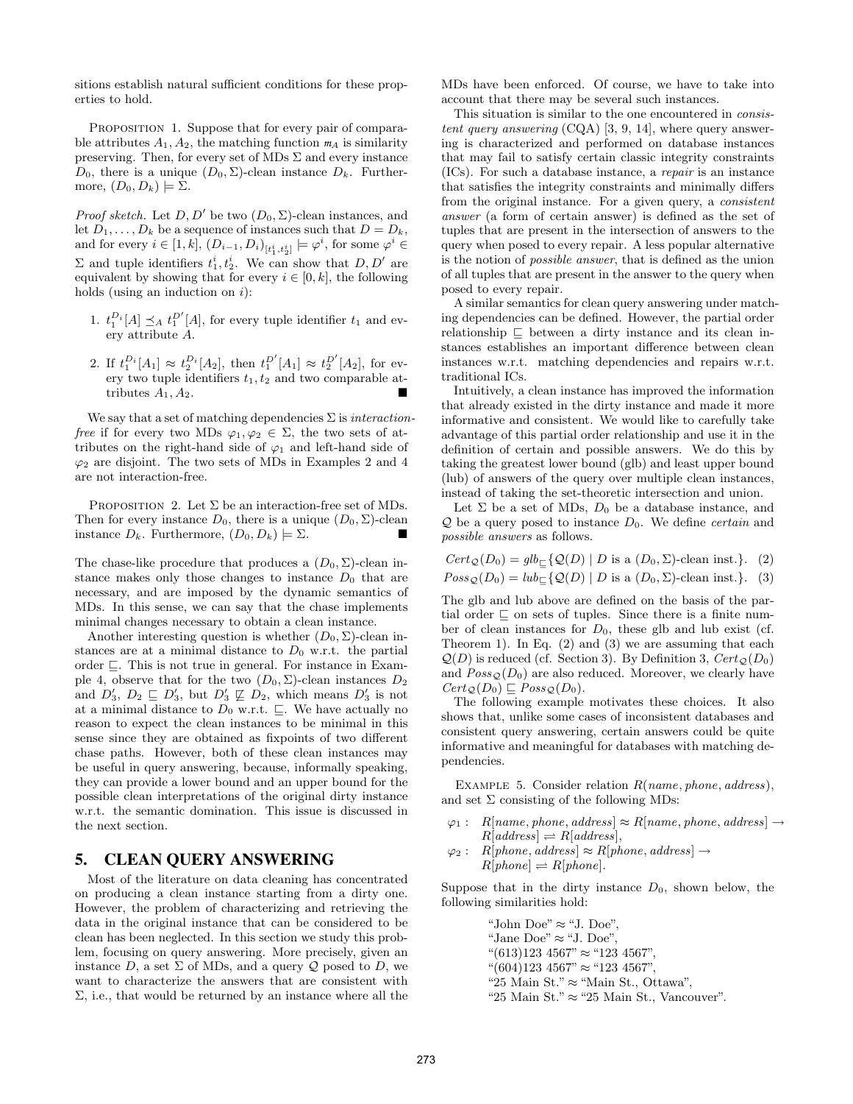sitions establish natural sufficient conditions for these properties to hold.

PROPOSITION 1. Suppose that for every pair of comparable attributes  $A_1, A_2$ , the matching function  $m<sub>A</sub>$  is similarity preserving. Then, for every set of MDs  $\Sigma$  and every instance  $D_0$ , there is a unique  $(D_0, \Sigma)$ -clean instance  $D_k$ . Furthermore,  $(D_0, D_k) \models \Sigma$ .

*Proof sketch.* Let  $D, D'$  be two  $(D_0, \Sigma)$ -clean instances, and let  $D_1, \ldots, D_k$  be a sequence of instances such that  $D = D_k$ , and for every  $i \in [1, k]$ ,  $(D_{i-1}, D_i)_{[t_1^i, t_2^i]} \models \varphi^i$ , for some  $\varphi^i \in$  $\Sigma$  and tuple identifiers  $t_1^i, t_2^i$ . We can show that  $D, D'$  are equivalent by showing that for every  $i \in [0, k]$ , the following holds (using an induction on  $i$ ):

- 1.  $t_1^{D_i}[A] \preceq_A t_1^{D'}[A]$ , for every tuple identifier  $t_1$  and every attribute A.
- 2. If  $t_1^{D_i}[A_1] \approx t_2^{D_i}[A_2]$ , then  $t_1^{D'}[A_1] \approx t_2^{D'}[A_2]$ , for every two tuple identifiers  $t_1, t_2$  and two comparable attributes  $A_1, A_2$ .

We say that a set of matching dependencies  $\Sigma$  is *interactionfree* if for every two MDs  $\varphi_1, \varphi_2 \in \Sigma$ , the two sets of attributes on the right-hand side of  $\varphi_1$  and left-hand side of  $\varphi_2$  are disjoint. The two sets of MDs in Examples 2 and 4 are not interaction-free.

PROPOSITION 2. Let  $\Sigma$  be an interaction-free set of MDs. Then for every instance  $D_0$ , there is a unique  $(D_0, \Sigma)$ -clean instance  $D_k$ . Furthermore,  $(D_0, D_k) \models \Sigma$ .

The chase-like procedure that produces a  $(D_0, \Sigma)$ -clean instance makes only those changes to instance  $D_0$  that are necessary, and are imposed by the dynamic semantics of MDs. In this sense, we can say that the chase implements minimal changes necessary to obtain a clean instance.

Another interesting question is whether  $(D_0, \Sigma)$ -clean instances are at a minimal distance to  $D_0$  w.r.t. the partial order  $\sqsubseteq$ . This is not true in general. For instance in Example 4, observe that for the two  $(D_0, \Sigma)$ -clean instances  $D_2$ and  $D'_3$ ,  $D_2 \sqsubseteq D'_3$ , but  $D'_3 \not\sqsubseteq D_2$ , which means  $D'_3$  is not at a minimal distance to  $D_0$  w.r.t.  $\subseteq$ . We have actually no reason to expect the clean instances to be minimal in this sense since they are obtained as fixpoints of two different chase paths. However, both of these clean instances may be useful in query answering, because, informally speaking, they can provide a lower bound and an upper bound for the possible clean interpretations of the original dirty instance w.r.t. the semantic domination. This issue is discussed in the next section.

#### 5. CLEAN QUERY ANSWERING

Most of the literature on data cleaning has concentrated on producing a clean instance starting from a dirty one. However, the problem of characterizing and retrieving the data in the original instance that can be considered to be clean has been neglected. In this section we study this problem, focusing on query answering. More precisely, given an instance  $D$ , a set  $\Sigma$  of MDs, and a query  $\mathcal Q$  posed to  $D$ , we want to characterize the answers that are consistent with  $\Sigma$ , i.e., that would be returned by an instance where all the

MDs have been enforced. Of course, we have to take into account that there may be several such instances.

This situation is similar to the one encountered in consistent query answering  $(CQA)$  [3, 9, 14], where query answering is characterized and performed on database instances that may fail to satisfy certain classic integrity constraints (ICs). For such a database instance, a repair is an instance that satisfies the integrity constraints and minimally differs from the original instance. For a given query, a consistent answer (a form of certain answer) is defined as the set of tuples that are present in the intersection of answers to the query when posed to every repair. A less popular alternative is the notion of possible answer, that is defined as the union of all tuples that are present in the answer to the query when posed to every repair.

A similar semantics for clean query answering under matching dependencies can be defined. However, the partial order relationship  $\subseteq$  between a dirty instance and its clean instances establishes an important difference between clean instances w.r.t. matching dependencies and repairs w.r.t. traditional ICs.

Intuitively, a clean instance has improved the information that already existed in the dirty instance and made it more informative and consistent. We would like to carefully take advantage of this partial order relationship and use it in the definition of certain and possible answers. We do this by taking the greatest lower bound (glb) and least upper bound (lub) of answers of the query over multiple clean instances, instead of taking the set-theoretic intersection and union.

Let  $\Sigma$  be a set of MDs,  $D_0$  be a database instance, and  $\mathcal Q$  be a query posed to instance  $D_0$ . We define *certain* and possible answers as follows.

$$
Cert_{\mathcal{Q}}(D_0) = glb_{\mathcal{Q}}\{Q(D) \mid D \text{ is a } (D_0, \Sigma)\text{-clean inst.}\}.
$$
 (2)  

$$
Poss_{\mathcal{Q}}(D_0) = lub_{\mathcal{Q}}\{Q(D) \mid D \text{ is a } (D_0, \Sigma)\text{-clean inst.}\}.
$$
 (3)

The glb and lub above are defined on the basis of the partial order  $\sqsubseteq$  on sets of tuples. Since there is a finite number of clean instances for  $D_0$ , these glb and lub exist (cf. Theorem 1). In Eq.  $(2)$  and  $(3)$  we are assuming that each  $\mathcal{Q}(D)$  is reduced (cf. Section 3). By Definition 3,  $Cert_{\mathcal{Q}}(D_0)$ and  $Poss_{\mathcal{Q}}(D_0)$  are also reduced. Moreover, we clearly have  $Cert_{\mathcal{Q}}(D_0) \sqsubset Poss_{\mathcal{Q}}(D_0).$ 

The following example motivates these choices. It also shows that, unlike some cases of inconsistent databases and consistent query answering, certain answers could be quite informative and meaningful for databases with matching dependencies.

EXAMPLE 5. Consider relation  $R(name, phone, address)$ , and set  $\Sigma$  consisting of the following MDs:

- $\varphi_1: R[name, phone, address] \approx R[name, phone, address] \rightarrow$  $R[address] \rightleftharpoons R[address],$
- $\varphi_2: R[phone, address] \approx R[phone, address] \rightarrow$  $R[phone] \rightleftharpoons R[phone].$

Suppose that in the dirty instance  $D_0$ , shown below, the following similarities hold:

> "John Doe"  $\approx$  "J. Doe". "Jane Doe"  $\approx$  "J. Doe".  $\frac{1613}{123}$  4567"  $\approx$  "123 4567".  $\degree$ (604)123 4567"  $\approx$  "123 4567", "25 Main St."  $\approx$  "Main St., Ottawa", "25 Main St."  $\approx$  "25 Main St., Vancouver".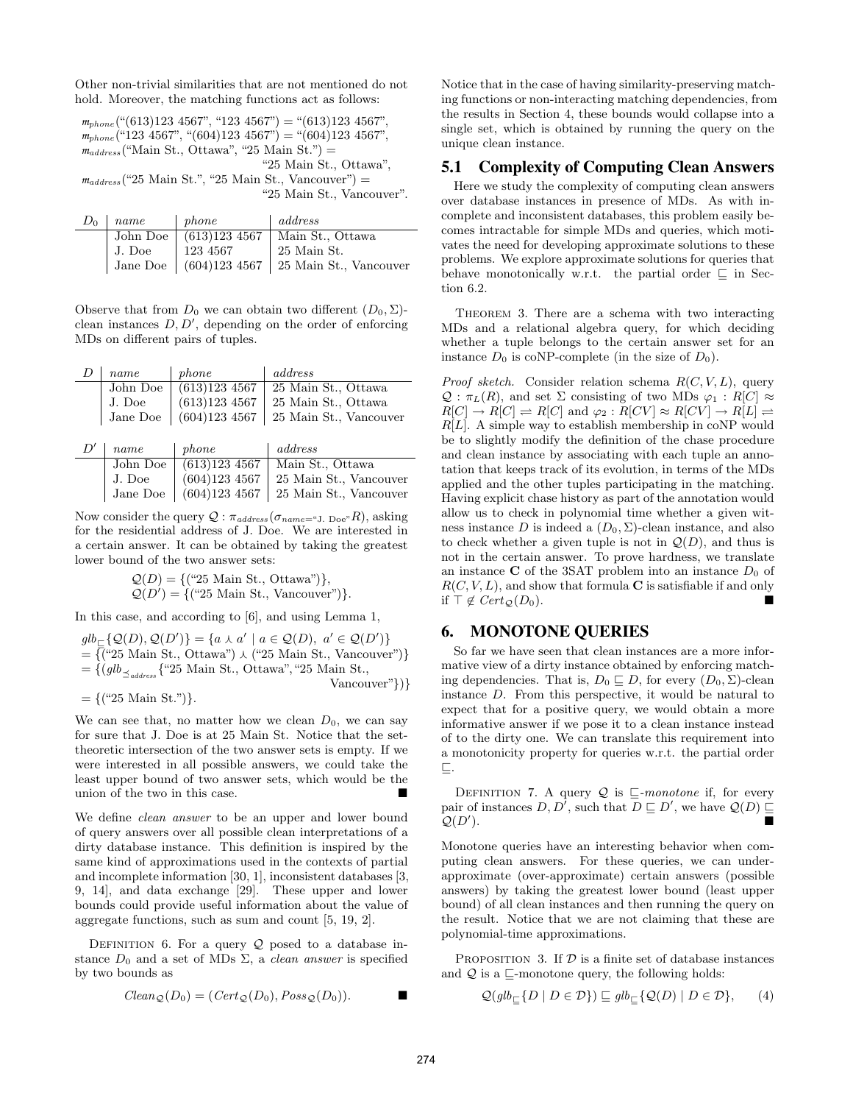Other non-trivial similarities that are not mentioned do not hold. Moreover, the matching functions act as follows:

 $m_{phone}$ <sup>("</sup>(613)123 4567", "123 4567") = "(613)123 4567", *m*phone ("123 4567", "(604)123 4567") = "(604)123 4567", *m*address ("Main St., Ottawa", "25 Main St.") = "25 Main St., Ottawa",  $m_{address}$  ("25 Main St.", "25 Main St., Vancouver") = "25 Main St., Vancouver".

| $D_0$   name   | hone             | $\vert$ address                                |
|----------------|------------------|------------------------------------------------|
|                |                  | John Doe   (613)123 4567   Main St., Ottawa    |
| $\vert$ J. Doe | $\perp$ 123 4567 | 25 Main St.                                    |
|                |                  | Jane Doe $(604)1234567$ 25 Main St., Vancouver |

Observe that from  $D_0$  we can obtain two different  $(D_0, \Sigma)$ clean instances  $D, D',$  depending on the order of enforcing MDs on different pairs of tuples.

|    | name               | phone                 | address                |
|----|--------------------|-----------------------|------------------------|
|    | John Doe           | (613)1234567          | 25 Main St., Ottawa    |
|    | J. Doe<br>Jane Doe | (613)1234567          | 25 Main St., Ottawa    |
|    |                    | (604)1234567          | 25 Main St., Vancouver |
|    |                    |                       |                        |
| D' | name               | phone                 | address                |
|    | John Doe           | $\sqrt{(613)1234567}$ | Main St., Ottawa       |
|    | J. Doe             | (604)1234567          | 25 Main St., Vancouver |

Now consider the query  $\mathcal{Q} : \pi_{address}(\sigma_{name="J. Doe} \cdot R)$ , asking for the residential address of J. Doe. We are interested in a certain answer. It can be obtained by taking the greatest lower bound of the two answer sets:

Jane Doe | (604)123 4567 | 25 Main St., Vancouver

 $Q(D) = \{$  ("25 Main St., Ottawa")},  $Q(D') = \{$ ("25 Main St., Vancouver") }.

In this case, and according to [6], and using Lemma 1,

$$
glbE{Q(D), Q(D')} = {a \t A a' | a \in Q(D), a' \in Q(D')}= {("25 Main St., Ottawa") \t A ("25 Main St., Vancouver")}= {(glb3address("25 Main St., Ottawa", "25 Main St., Vancouver")})}
$$

 $= \{$  ("25 Main St.") }.

We can see that, no matter how we clean  $D_0$ , we can say for sure that J. Doe is at 25 Main St. Notice that the settheoretic intersection of the two answer sets is empty. If we were interested in all possible answers, we could take the least upper bound of two answer sets, which would be the union of the two in this case.

We define clean answer to be an upper and lower bound of query answers over all possible clean interpretations of a dirty database instance. This definition is inspired by the same kind of approximations used in the contexts of partial and incomplete information [30, 1], inconsistent databases [3, 9, 14], and data exchange [29]. These upper and lower bounds could provide useful information about the value of aggregate functions, such as sum and count [5, 19, 2].

DEFINITION 6. For a query  $Q$  posed to a database instance  $D_0$  and a set of MDs  $\Sigma$ , a *clean answer* is specified by two bounds as

$$
Clear_{\mathcal{Q}}(D_0)=(Cert_{\mathcal{Q}}(D_0), Poss_{\mathcal{Q}}(D_0)).
$$

Notice that in the case of having similarity-preserving matching functions or non-interacting matching dependencies, from the results in Section 4, these bounds would collapse into a single set, which is obtained by running the query on the unique clean instance.

## 5.1 Complexity of Computing Clean Answers

Here we study the complexity of computing clean answers over database instances in presence of MDs. As with incomplete and inconsistent databases, this problem easily becomes intractable for simple MDs and queries, which motivates the need for developing approximate solutions to these problems. We explore approximate solutions for queries that behave monotonically w.r.t. the partial order  $\sqsubseteq$  in Section 6.2.

THEOREM 3. There are a schema with two interacting MDs and a relational algebra query, for which deciding whether a tuple belongs to the certain answer set for an instance  $D_0$  is coNP-complete (in the size of  $D_0$ ).

*Proof sketch.* Consider relation schema  $R(C, V, L)$ , query  $\mathcal{Q} : \pi_L(R)$ , and set  $\Sigma$  consisting of two MDs  $\varphi_1 : R[C] \approx$  $R[C] \to R[C] \rightleftharpoons R[C]$  and  $\varphi_2 : R[CV] \approx R[CV] \to R[L] \rightleftharpoons$  $R[L]$ . A simple way to establish membership in coNP would be to slightly modify the definition of the chase procedure and clean instance by associating with each tuple an annotation that keeps track of its evolution, in terms of the MDs applied and the other tuples participating in the matching. Having explicit chase history as part of the annotation would allow us to check in polynomial time whether a given witness instance D is indeed a  $(D_0, \Sigma)$ -clean instance, and also to check whether a given tuple is not in  $\mathcal{Q}(D)$ , and thus is not in the certain answer. To prove hardness, we translate an instance  $C$  of the 3SAT problem into an instance  $D_0$  of  $R(C, V, L)$ , and show that formula **C** is satisfiable if and only if  $\top$  ∉  $Cert_{\mathcal{Q}}(D_0)$ .

# 6. MONOTONE QUERIES

So far we have seen that clean instances are a more informative view of a dirty instance obtained by enforcing matching dependencies. That is,  $D_0 \sqsubseteq D$ , for every  $(D_0, \Sigma)$ -clean instance D. From this perspective, it would be natural to expect that for a positive query, we would obtain a more informative answer if we pose it to a clean instance instead of to the dirty one. We can translate this requirement into a monotonicity property for queries w.r.t. the partial order v.

DEFINITION 7. A query  $Q$  is  $\sqsubseteq$ -monotone if, for every pair of instances  $D, D'$ , such that  $D \sqsubseteq D'$ , we have  $\mathcal{Q}(D) \sqsubseteq$  $\overline{\mathcal{Q}}(D^{\prime}% )=\mathcal{Z}(D^{\prime},D^{\prime})$ ).  $\blacksquare$ 

Monotone queries have an interesting behavior when computing clean answers. For these queries, we can underapproximate (over-approximate) certain answers (possible answers) by taking the greatest lower bound (least upper bound) of all clean instances and then running the query on the result. Notice that we are not claiming that these are polynomial-time approximations.

PROPOSITION 3. If  $D$  is a finite set of database instances and  $\mathcal Q$  is a  $\sqsubseteq$ -monotone query, the following holds:

$$
\mathcal{Q}(glb_{\sqsubseteq}\{D \mid D \in \mathcal{D}\}) \sqsubseteq glb_{\sqsubseteq}\{\mathcal{Q}(D) \mid D \in \mathcal{D}\},\qquad(4)
$$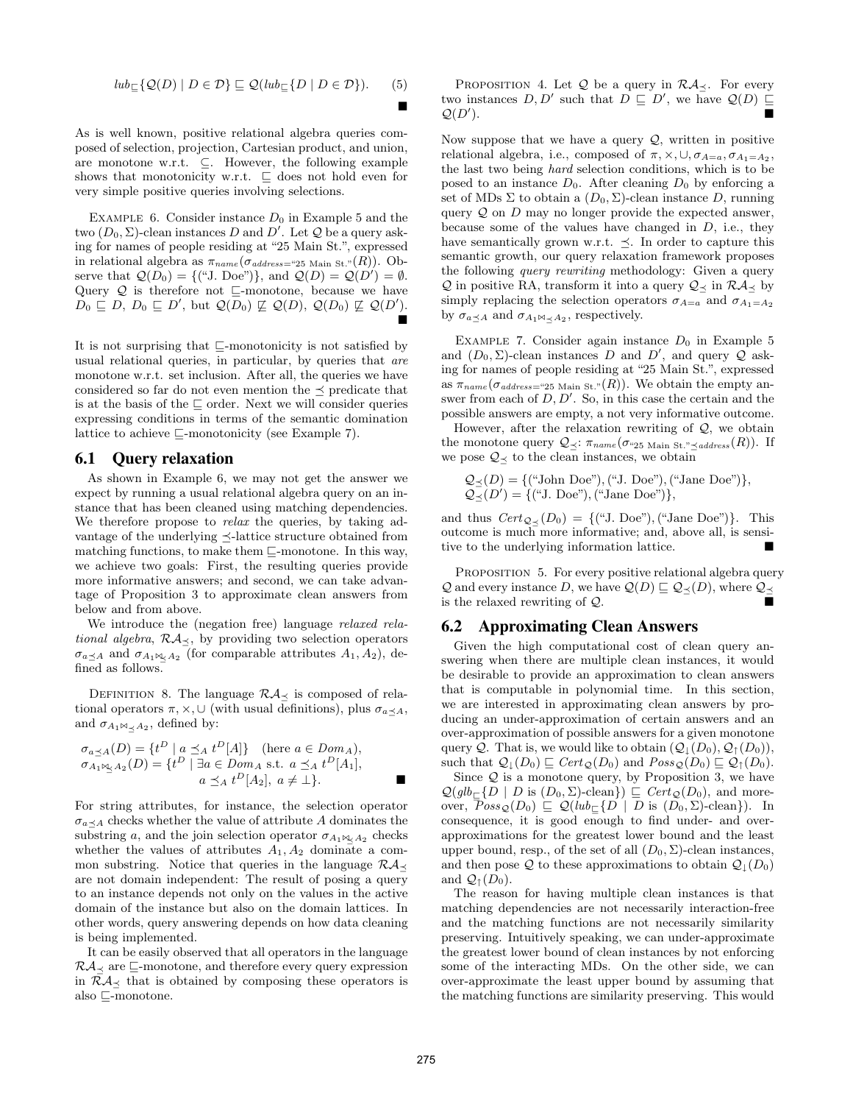$$
lub_{\sqsubseteq} \{ \mathcal{Q}(D) \mid D \in \mathcal{D} \} \sqsubseteq \mathcal{Q}(lub_{\sqsubseteq} \{ D \mid D \in \mathcal{D} \}).\tag{5}
$$

As is well known, positive relational algebra queries composed of selection, projection, Cartesian product, and union, are monotone w.r.t. ⊆. However, the following example shows that monotonicity w.r.t.  $\sqsubseteq$  does not hold even for very simple positive queries involving selections.

abcompanies and the contract of the contract of the contract of the contract of

EXAMPLE 6. Consider instance  $D_0$  in Example 5 and the two  $(D_0, \Sigma)$ -clean instances D and D'. Let Q be a query asking for names of people residing at "25 Main St.", expressed in relational algebra as  $\pi_{name}(\sigma_{address} = 25 \text{ Main St.}^n(R))$ . Observe that  $\mathcal{Q}(D_0) = \{("J. Doe")\}$ , and  $\mathcal{Q}(D) = \mathcal{Q}(D') = \emptyset$ . Query  $Q$  is therefore not  $\Box$ -monotone, because we have  $D_0 \subseteq D, D_0 \subseteq D'$ , but  $\mathcal{Q}(D_0) \not\subseteq \mathcal{Q}(D), \mathcal{Q}(D_0) \not\subseteq \mathcal{Q}(D').$  $\alpha$ 

It is not surprising that  $\sqsubseteq$ -monotonicity is not satisfied by usual relational queries, in particular, by queries that are monotone w.r.t. set inclusion. After all, the queries we have considered so far do not even mention the  $\preceq$  predicate that is at the basis of the  $\sqsubseteq$  order. Next we will consider queries expressing conditions in terms of the semantic domination lattice to achieve  $\sqsubseteq$ -monotonicity (see Example 7).

#### 6.1 Query relaxation

As shown in Example 6, we may not get the answer we expect by running a usual relational algebra query on an instance that has been cleaned using matching dependencies. We therefore propose to *relax* the queries, by taking advantage of the underlying  $\preceq$ -lattice structure obtained from matching functions, to make them  $\sqsubseteq$ -monotone. In this way, we achieve two goals: First, the resulting queries provide more informative answers; and second, we can take advantage of Proposition 3 to approximate clean answers from below and from above.

We introduce the (negation free) language relaxed relational algebra,  $\mathcal{R}A_{\prec}$ , by providing two selection operators  $\sigma_{a \preceq A}$  and  $\sigma_{A_1 \bowtie_{A_2} A_2}$  (for comparable attributes  $A_1, A_2$ ), defined as follows.

DEFINITION 8. The language  $R\mathcal{A}_{\prec}$  is composed of relational operators  $\pi$ ,  $\times$ ,  $\cup$  (with usual definitions), plus  $\sigma_{a} \prec A$ , and  $\sigma_{A_1\bowtie_A A_2}$ , defined by:

$$
\sigma_{a \preceq A}(D) = \{t^D \mid a \preceq_A t^D[A]\} \quad \text{(here } a \in Dom_A\},
$$
  
\n
$$
\sigma_{A_1 \bowtie_A A_2}(D) = \{t^D \mid \exists a \in Dom_A \text{ s.t. } a \preceq_A t^D[A_1],
$$
  
\n
$$
a \preceq_A t^D[A_2], a \neq \bot\}.
$$

For string attributes, for instance, the selection operator  $\sigma_{a\preceq A}$  checks whether the value of attribute A dominates the substring a, and the join selection operator  $\sigma_{A_1 \bowtie_A A_2}$  checks whether the values of attributes  $A_1, A_2$  dominate a common substring. Notice that queries in the language  $\mathcal{R}A_{\preceq}$ are not domain independent: The result of posing a query to an instance depends not only on the values in the active domain of the instance but also on the domain lattices. In other words, query answering depends on how data cleaning is being implemented.

It can be easily observed that all operators in the language  $R\mathcal{A}_{\prec}$  are  $\sqsubseteq$ -monotone, and therefore every query expression in  $\mathcal{R}A_{\prec}$  that is obtained by composing these operators is also  $\sqsubseteq$ -monotone.

PROPOSITION 4. Let  $Q$  be a query in  $R\mathcal{A}_{\prec}$ . For every two instances  $D, D'$  such that  $D \subseteq D'$ , we have  $\mathcal{Q}(D) \subseteq$  $\mathcal{Q}(D'$ ).  $\blacksquare$ 

Now suppose that we have a query  $Q$ , written in positive relational algebra, i.e., composed of  $\pi$ ,  $\times$ ,  $\cup$ ,  $\sigma_{A=a}$ ,  $\sigma_{A_1=A_2}$ , the last two being hard selection conditions, which is to be posed to an instance  $D_0$ . After cleaning  $D_0$  by enforcing a set of MDs  $\Sigma$  to obtain a  $(D_0, \Sigma)$ -clean instance D, running query  $Q$  on  $D$  may no longer provide the expected answer, because some of the values have changed in  $D$ , i.e., they have semantically grown w.r.t.  $\preceq$ . In order to capture this semantic growth, our query relaxation framework proposes the following query rewriting methodology: Given a query Q in positive RA, transform it into a query  $Q_{\prec}$  in  $\mathcal{R}A_{\prec}$  by simply replacing the selection operators  $\sigma_{A=a}$  and  $\sigma_{A_1=A_2}$ by  $\sigma_{a \preceq A}$  and  $\sigma_{A_1 \bowtie_{\prec} A_2}$ , respectively.

EXAMPLE 7. Consider again instance  $D_0$  in Example 5 and  $(D_0, \Sigma)$ -clean instances D and D', and query Q asking for names of people residing at "25 Main St.", expressed as  $\pi_{name}(\sigma_{address} = 25 \text{ Main } \text{St.}^n(R))$ . We obtain the empty answer from each of  $D, D'$ . So, in this case the certain and the possible answers are empty, a not very informative outcome.

However, after the relaxation rewriting of  $Q$ , we obtain the monotone query  $\mathcal{Q}_{\preceq}: \pi_{name}(\sigma_{35 \text{ Main St.}}^{\sim} \preceq_{address}(R)).$  If we pose  $\mathcal{Q}_{\preceq}$  to the clean instances, we obtain

$$
Q_{\preceq}(D) = \{ ("John Doe"), ("J. Doe"), ("Jane Doe") \},
$$
  

$$
Q_{\preceq}(D') = \{ ("J. Doe"), ("Jane Doe") \},
$$

and thus  $Cert_{\mathcal{Q}_{\prec}}(D_0) = \{ ("J. Doe"), ("Jane Doe") \}.$  This outcome is much more informative; and, above all, is sensitive to the underlying information lattice.

PROPOSITION 5. For every positive relational algebra query  $\mathcal Q$  and every instance D, we have  $\mathcal Q(D) \sqsubseteq \mathcal Q_{\prec}(D)$ , where  $\mathcal Q_{\prec}$ is the relaxed rewriting of  $Q$ .

#### 6.2 Approximating Clean Answers

Given the high computational cost of clean query answering when there are multiple clean instances, it would be desirable to provide an approximation to clean answers that is computable in polynomial time. In this section, we are interested in approximating clean answers by producing an under-approximation of certain answers and an over-approximation of possible answers for a given monotone query Q. That is, we would like to obtain  $(Q_1(D_0), Q_1(D_0)),$ such that  $\mathcal{Q}_\downarrow(D_0) \sqsubseteq \mathit{Cert}_\mathcal{Q}(D_0)$  and  $\mathit{Poss}_\mathcal{Q}(D_0) \sqsubseteq \mathcal{Q}_\uparrow(D_0)$ .

Since  $Q$  is a monotone query, by Proposition 3, we have  $\mathcal{Q}(glb_{\Gamma} \{D \mid D \text{ is } (D_0, \Sigma) \text{-clean}\}) \sqsubseteq \text{Cert}_{\mathcal{Q}}(D_0)$ , and moreover,  $\overline{Poss_{\mathcal{Q}}(D_0)} \sqsubseteq \mathcal{Q}(lub_{\sqsubset} \{D \mid D \text{ is } (D_0, \Sigma)\text{-clean}\}).$  In consequence, it is good enough to find under- and overapproximations for the greatest lower bound and the least upper bound, resp., of the set of all  $(D_0, \Sigma)$ -clean instances, and then pose Q to these approximations to obtain  $Q_{\perp}(D_0)$ and  $\mathcal{Q}_{\uparrow}(D_0)$ .

The reason for having multiple clean instances is that matching dependencies are not necessarily interaction-free and the matching functions are not necessarily similarity preserving. Intuitively speaking, we can under-approximate the greatest lower bound of clean instances by not enforcing some of the interacting MDs. On the other side, we can over-approximate the least upper bound by assuming that the matching functions are similarity preserving. This would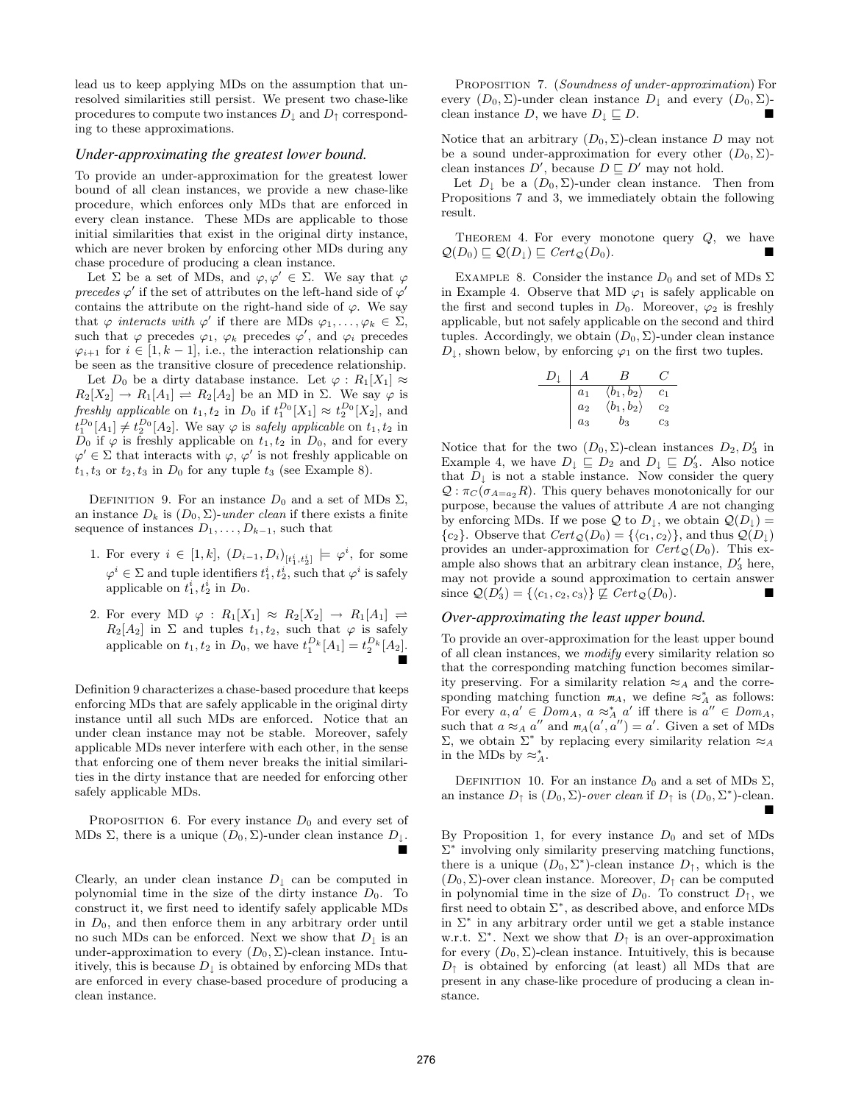lead us to keep applying MDs on the assumption that unresolved similarities still persist. We present two chase-like procedures to compute two instances  $D_{\perp}$  and  $D_{\uparrow}$  corresponding to these approximations.

#### *Under-approximating the greatest lower bound.*

To provide an under-approximation for the greatest lower bound of all clean instances, we provide a new chase-like procedure, which enforces only MDs that are enforced in every clean instance. These MDs are applicable to those initial similarities that exist in the original dirty instance, which are never broken by enforcing other MDs during any chase procedure of producing a clean instance.

Let  $\Sigma$  be a set of MDs, and  $\varphi, \varphi' \in \Sigma$ . We say that  $\varphi$ precedes  $\varphi'$  if the set of attributes on the left-hand side of  $\varphi'$ contains the attribute on the right-hand side of  $\varphi$ . We say that  $\varphi$  interacts with  $\varphi'$  if there are MDs  $\varphi_1, \ldots, \varphi_k \in \Sigma$ , such that  $\varphi$  precedes  $\varphi_1$ ,  $\varphi_k$  precedes  $\varphi'$ , and  $\varphi_i$  precedes  $\varphi_{i+1}$  for  $i \in [1, k-1]$ , i.e., the interaction relationship can be seen as the transitive closure of precedence relationship.

Let  $D_0$  be a dirty database instance. Let  $\varphi: R_1[X_1] \approx$  $R_2[X_2] \to R_1[A_1] \rightleftharpoons R_2[A_2]$  be an MD in  $\Sigma$ . We say  $\varphi$  is freshly applicable on  $t_1, t_2$  in  $D_0$  if  $t_1^{D_0}[X_1] \approx t_2^{D_0}[X_2]$ , and  $t_1^{D_0}[A_1] \neq t_2^{D_0}[A_2]$ . We say  $\varphi$  is *safely applicable* on  $t_1, t_2$  in  $D_0$  if  $\varphi$  is freshly applicable on  $t_1, t_2$  in  $D_0$ , and for every  $\varphi' \in \Sigma$  that interacts with  $\varphi, \varphi'$  is not freshly applicable on  $t_1, t_3$  or  $t_2, t_3$  in  $D_0$  for any tuple  $t_3$  (see Example 8).

DEFINITION 9. For an instance  $D_0$  and a set of MDs  $\Sigma$ , an instance  $D_k$  is  $(D_0, \Sigma)$ -under clean if there exists a finite sequence of instances  $D_1, \ldots, D_{k-1}$ , such that

- 1. For every  $i \in [1, k]$ ,  $(D_{i-1}, D_i)_{[t_1^i, t_2^i]} \models \varphi^i$ , for some  $\varphi^i \in \Sigma$  and tuple identifiers  $t_1^i, t_2^i$ , such that  $\varphi^i$  is safely applicable on  $t_1^i, t_2^i$  in  $D_0$ .
- 2. For every MD  $\varphi : R_1[X_1] \approx R_2[X_2] \rightarrow R_1[A_1] \rightleftharpoons$  $R_2[A_2]$  in  $\Sigma$  and tuples  $t_1, t_2$ , such that  $\varphi$  is safely applicable on  $t_1, t_2$  in  $D_0$ , we have  $t_1^{D_k}[A_1] = t_2^{D_k}[A_2]$ . abcompanies and a series of the series of the series of the series of the series of the series of the series of

Definition 9 characterizes a chase-based procedure that keeps enforcing MDs that are safely applicable in the original dirty instance until all such MDs are enforced. Notice that an under clean instance may not be stable. Moreover, safely applicable MDs never interfere with each other, in the sense that enforcing one of them never breaks the initial similarities in the dirty instance that are needed for enforcing other safely applicable MDs.

PROPOSITION 6. For every instance  $D_0$  and every set of MDs  $\Sigma$ , there is a unique  $(D_0, \Sigma)$ -under clean instance  $D_{\perp}$ .  $\mathcal{L}$  above  $\mathcal{L}$  above  $\mathcal{L}$  above  $\mathcal{L}$ 

Clearly, an under clean instance  $D_{\downarrow}$  can be computed in polynomial time in the size of the dirty instance  $D_0$ . To construct it, we first need to identify safely applicable MDs in  $D_0$ , and then enforce them in any arbitrary order until no such MDs can be enforced. Next we show that  $D_{\perp}$  is an under-approximation to every  $(D_0, \Sigma)$ -clean instance. Intuitively, this is because  $D_{\downarrow}$  is obtained by enforcing MDs that are enforced in every chase-based procedure of producing a clean instance.

PROPOSITION 7. (Soundness of under-approximation) For every  $(D_0, \Sigma)$ -under clean instance  $D_{\perp}$  and every  $(D_0, \Sigma)$ clean instance D, we have  $D_{\downarrow} \sqsubseteq D$ .

Notice that an arbitrary  $(D_0, \Sigma)$ -clean instance D may not be a sound under-approximation for every other  $(D_0, \Sigma)$ clean instances  $D'$ , because  $D \sqsubseteq D'$  may not hold.

Let  $D_{\downarrow}$  be a  $(D_0, \Sigma)$ -under clean instance. Then from Propositions 7 and 3, we immediately obtain the following result.

THEOREM 4. For every monotone query  $Q$ , we have  $\mathcal{Q}(D_0) \sqsubseteq \mathcal{Q}(D_\downarrow) \sqsubseteq \mathit{Cert}_\mathcal{Q}(D_0).$ 

EXAMPLE 8. Consider the instance  $D_0$  and set of MDs  $\Sigma$ in Example 4. Observe that MD  $\varphi_1$  is safely applicable on the first and second tuples in  $D_0$ . Moreover,  $\varphi_2$  is freshly applicable, but not safely applicable on the second and third tuples. Accordingly, we obtain  $(D_0, \Sigma)$ -under clean instance  $D_{\downarrow}$ , shown below, by enforcing  $\varphi_1$  on the first two tuples.

$$
\begin{array}{c|cc}\nD_{\downarrow} & A & B & C \\
\hline\na_1 & \langle b_1, b_2 \rangle & c_1 \\
a_2 & \langle b_1, b_2 \rangle & c_2 \\
a_3 & b_3 & c_3\n\end{array}
$$

Notice that for the two  $(D_0, \Sigma)$ -clean instances  $D_2, D'_3$  in Example 4, we have  $D_{\downarrow} \subseteq D_2$  and  $D_{\downarrow} \subseteq D_3'$ . Also notice that  $D_{\perp}$  is not a stable instance. Now consider the query  $\mathcal{Q}: \pi_C(\sigma_{A=a_2}R)$ . This query behaves monotonically for our purpose, because the values of attribute  ${\cal A}$  are not changing by enforcing MDs. If we pose  $\mathcal Q$  to  $D_{\downarrow}$ , we obtain  $\mathcal Q(D_{\downarrow}) =$  ${c_2}$ . Observe that  $Cert_{\mathcal{Q}}(D_0) = {\langle c_1, c_2 \rangle}$ , and thus  $\mathcal{Q}(D_\perp)$ provides an under-approximation for  $Cert_{\mathcal{Q}}(D_0)$ . This example also shows that an arbitrary clean instance,  $D'_3$  here, may not provide a sound approximation to certain answer since  $\mathcal{Q}(\tilde{D}_3') = \{ \langle c_1, c_2, c_3 \rangle \} \nsubseteq \text{Cert}_{\mathcal{Q}}(D_0).$ 

#### *Over-approximating the least upper bound.*

To provide an over-approximation for the least upper bound of all clean instances, we modify every similarity relation so that the corresponding matching function becomes similarity preserving. For a similarity relation  $\approx_A$  and the corresponding matching function  $m_A$ , we define  $\approx_A^*$  as follows: For every  $a, a' \in Dom_A$ ,  $a \approx_A^* a'$  iff there is  $a'' \in Dom_A$ , such that  $a \approx_A a''$  and  $m_A(a', a'') = a'$ . Given a set of MDs Σ, we obtain Σ<sup>\*</sup> by replacing every similarity relation  $≈<sub>A</sub>$ in the MDs by  $\approx_A^*$ .

DEFINITION 10. For an instance  $D_0$  and a set of MDs  $\Sigma$ , an instance  $D_{\uparrow}$  is  $(D_0, \Sigma)$ -over clean if  $D_{\uparrow}$  is  $(D_0, \Sigma^*)$ -clean. abcompanies and a state of the state of the state of the state of the state of the state of the state of the s<br>The state of the state of the state of the state of the state of the state of the state of the state of the st

By Proposition 1, for every instance  $D_0$  and set of MDs  $\Sigma^*$  involving only similarity preserving matching functions, there is a unique  $(D_0, \Sigma^*)$ -clean instance  $D_{\uparrow}$ , which is the  $(D_0, \Sigma)$ -over clean instance. Moreover,  $D_{\uparrow}$  can be computed in polynomial time in the size of  $D_0$ . To construct  $D_{\uparrow}$ , we first need to obtain  $\Sigma^*$ , as described above, and enforce MDs in  $\Sigma^*$  in any arbitrary order until we get a stable instance w.r.t.  $\Sigma^*$ . Next we show that  $D_{\uparrow}$  is an over-approximation for every  $(D_0, \Sigma)$ -clean instance. Intuitively, this is because  $D_{\uparrow}$  is obtained by enforcing (at least) all MDs that are present in any chase-like procedure of producing a clean instance.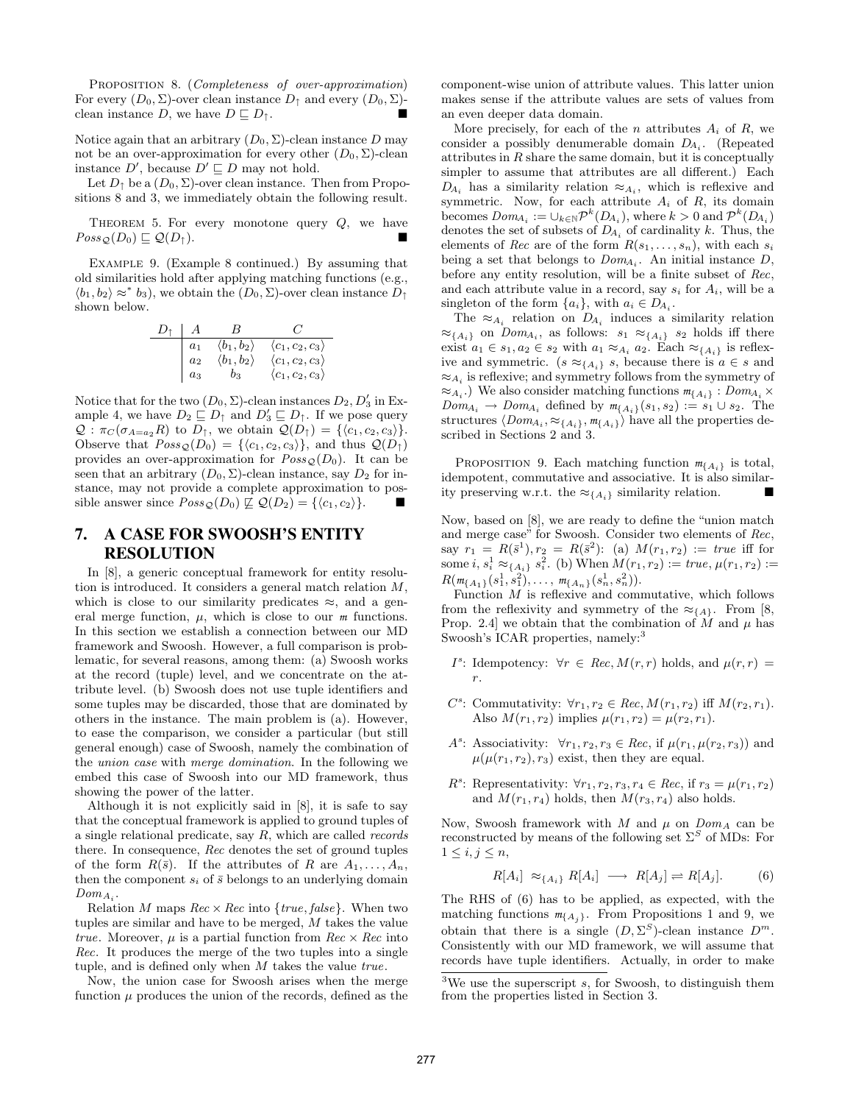PROPOSITION 8. (Completeness of over-approximation) For every  $(D_0, \Sigma)$ -over clean instance  $D_1$  and every  $(D_0, \Sigma)$ clean instance D, we have  $D \sqsubseteq D_{\uparrow}$ .

Notice again that an arbitrary  $(D_0, \Sigma)$ -clean instance D may not be an over-approximation for every other  $(D_0, \Sigma)$ -clean instance  $D'$ , because  $D' \sqsubseteq D$  may not hold.

Let  $D_{\uparrow}$  be a  $(D_0, \Sigma)$ -over clean instance. Then from Propositions 8 and 3, we immediately obtain the following result.

THEOREM 5. For every monotone query  $Q$ , we have  $Poss_{\mathcal{Q}}(D_0) \sqsubseteq \mathcal{Q}(D_\uparrow).$ 

Example 9. (Example 8 continued.) By assuming that old similarities hold after applying matching functions (e.g.,  $\langle b_1, b_2 \rangle \approx^* b_3$ , we obtain the  $(D_0, \Sigma)$ -over clean instance  $D_{\uparrow}$ shown below.

|                | к                        |                                 |
|----------------|--------------------------|---------------------------------|
| a <sub>1</sub> | $\langle b_1,b_2\rangle$ | $\langle c_1, c_2, c_3 \rangle$ |
| a <sub>2</sub> | $\langle b_1,b_2\rangle$ | $\langle c_1, c_2, c_3 \rangle$ |
| $a_3$          | $b_3$                    | $\langle c_1, c_2, c_3 \rangle$ |

Notice that for the two  $(D_0, \Sigma)$ -clean instances  $D_2, D'_3$  in Example 4, we have  $D_2 \sqsubseteq D_{\uparrow}$  and  $D_3' \sqsubseteq D_{\uparrow}$ . If we pose query  $\mathcal{Q} : \pi_C(\sigma_{A=a_2}R)$  to  $D_{\uparrow}$ , we obtain  $\mathcal{Q}(D_{\uparrow}) = \{\langle c_1, c_2, c_3 \rangle\}.$ Observe that  $Poss_{\mathcal{Q}}(D_0) = \{\langle c_1, c_2, c_3\rangle\}$ , and thus  $\mathcal{Q}(D_1)$ provides an over-approximation for  $Poss_{\mathcal{Q}}(D_0)$ . It can be seen that an arbitrary  $(D_0, \Sigma)$ -clean instance, say  $D_2$  for instance, may not provide a complete approximation to possible answer since  $Poss_{\mathcal{Q}}(D_0) \not\subseteq \mathcal{Q}(D_2) = \{\langle c_1, c_2 \rangle\}.$ 

# 7. A CASE FOR SWOOSH'S ENTITY RESOLUTION

In [8], a generic conceptual framework for entity resolution is introduced. It considers a general match relation M, which is close to our similarity predicates  $\approx$ , and a general merge function,  $\mu$ , which is close to our  $m$  functions. In this section we establish a connection between our MD framework and Swoosh. However, a full comparison is problematic, for several reasons, among them: (a) Swoosh works at the record (tuple) level, and we concentrate on the attribute level. (b) Swoosh does not use tuple identifiers and some tuples may be discarded, those that are dominated by others in the instance. The main problem is (a). However, to ease the comparison, we consider a particular (but still general enough) case of Swoosh, namely the combination of the union case with merge domination. In the following we embed this case of Swoosh into our MD framework, thus showing the power of the latter.

Although it is not explicitly said in [8], it is safe to say that the conceptual framework is applied to ground tuples of a single relational predicate, say R, which are called records there. In consequence, Rec denotes the set of ground tuples of the form  $R(\bar{s})$ . If the attributes of R are  $A_1, \ldots, A_n$ , then the component  $s_i$  of  $\bar{s}$  belongs to an underlying domain  $Dom_{A_i}$ .

Relation M maps  $Rec \times Rec$  into  ${true, false}$ . When two tuples are similar and have to be merged, M takes the value true. Moreover,  $\mu$  is a partial function from  $Rec \times Rec$  into Rec. It produces the merge of the two tuples into a single tuple, and is defined only when  $M$  takes the value  $true$ .

Now, the union case for Swoosh arises when the merge function  $\mu$  produces the union of the records, defined as the component-wise union of attribute values. This latter union makes sense if the attribute values are sets of values from an even deeper data domain.

More precisely, for each of the n attributes  $A_i$  of R, we consider a possibly denumerable domain  $D_{A_i}$ . (Repeated attributes in  $R$  share the same domain, but it is conceptually simpler to assume that attributes are all different.) Each  $D_{A_i}$  has a similarity relation  $\approx_{A_i}$ , which is reflexive and symmetric. Now, for each attribute  $A_i$  of R, its domain becomes  $Dom_{A_i} := \cup_{k \in \mathbb{N}} \mathcal{P}^k(D_{A_i}),$  where  $k > 0$  and  $\mathcal{P}^k(D_{A_i})$ denotes the set of subsets of  $D_{A_i}$  of cardinality k. Thus, the elements of Rec are of the form  $R(s_1, \ldots, s_n)$ , with each  $s_i$ being a set that belongs to  $Dom_{A_i}$ . An initial instance D, before any entity resolution, will be a finite subset of Rec, and each attribute value in a record, say  $s_i$  for  $A_i$ , will be a singleton of the form  $\{a_i\}$ , with  $a_i \in D_{A_i}$ .

The  $\approx_{A_i}$  relation on  $D_{A_i}$  induces a similarity relation  $\approx_{\{A_i\}}$  on  $Dom_{A_i}$ , as follows:  $s_1 \approx_{\{A_i\}} s_2$  holds iff there exist  $a_1 \in s_1, a_2 \in s_2$  with  $a_1 \approx_{A_i} a_2$ . Each  $\approx_{\{A_i\}}$  is reflexive and symmetric. ( $s \approx_{\{A_i\}} s$ , because there is  $a \in s$  and  $\approx_{A_i}$  is reflexive; and symmetry follows from the symmetry of  $\approx_{A_i}$ ) We also consider matching functions  $m_{\{A_i\}} : Dom_{A_i} \times$  $Dom_{A_i} \rightarrow Dom_{A_i}$  defined by  $m_{\{A_i\}}(s_1, s_2) := s_1 \cup s_2$ . The structures  $\langle Dom_{A_i}, \approx_{\{A_i\}}, m_{\{A_i\}}\rangle$  have all the properties described in Sections 2 and 3.

PROPOSITION 9. Each matching function  $m_{\{A_i\}}$  is total, idempotent, commutative and associative. It is also similarity preserving w.r.t. the  $\approx_{\{A_i\}}$  similarity relation.

Now, based on [8], we are ready to define the "union match and merge case" for Swoosh. Consider two elements of Rec, say  $r_1 = R(\bar{s}^1), r_2 = R(\bar{s}^2)$ : (a)  $M(r_1, r_2) := true$  iff for some  $i, s_i^1 \approx_{\{A_i\}} s_i^2$ . (b) When  $M(r_1, r_2) := true, \mu(r_1, r_2) :=$  $R(m_{{A_1}}(s_1^1, s_1^2), \ldots, m_{{A_n}}(s_n^1, s_n^2)).$ 

Function  $M$  is reflexive and commutative, which follows from the reflexivity and symmetry of the  $\approx$ {A}. From [8, Prop. 2.4] we obtain that the combination of  $\tilde{M}$  and  $\mu$  has Swoosh's ICAR properties, namely:<sup>3</sup>

- I<sup>s</sup>: Idempotency:  $\forall r \in Rec, M(r,r)$  holds, and  $\mu(r,r)$ r.
- C<sup>s</sup>: Commutativity:  $\forall r_1, r_2 \in Rec, M(r_1, r_2)$  iff  $M(r_2, r_1)$ . Also  $M(r_1, r_2)$  implies  $\mu(r_1, r_2) = \mu(r_2, r_1)$ .
- A<sup>s</sup>: Associativity:  $\forall r_1, r_2, r_3 \in Rec$ , if  $\mu(r_1, \mu(r_2, r_3))$  and  $\mu(\mu(r_1, r_2), r_3)$  exist, then they are equal.
- R<sup>s</sup>: Representativity:  $\forall r_1, r_2, r_3, r_4 \in Rec, \text{ if } r_3 = \mu(r_1, r_2)$ and  $M(r_1, r_4)$  holds, then  $M(r_3, r_4)$  also holds.

Now, Swoosh framework with M and  $\mu$  on  $Dom_A$  can be reconstructed by means of the following set  $\Sigma^S$  of MDs: For  $1 \leq i, j \leq n$ ,

$$
R[A_i] \approx_{\{A_i\}} R[A_i] \longrightarrow R[A_j] \rightleftharpoons R[A_j]. \tag{6}
$$

The RHS of (6) has to be applied, as expected, with the matching functions  $m_{\{A_i\}}$ . From Propositions 1 and 9, we obtain that there is a single  $(D, \Sigma^S)$ -clean instance  $D^m$ . Consistently with our MD framework, we will assume that records have tuple identifiers. Actually, in order to make

<sup>&</sup>lt;sup>3</sup>We use the superscript  $s$ , for Swoosh, to distinguish them from the properties listed in Section 3.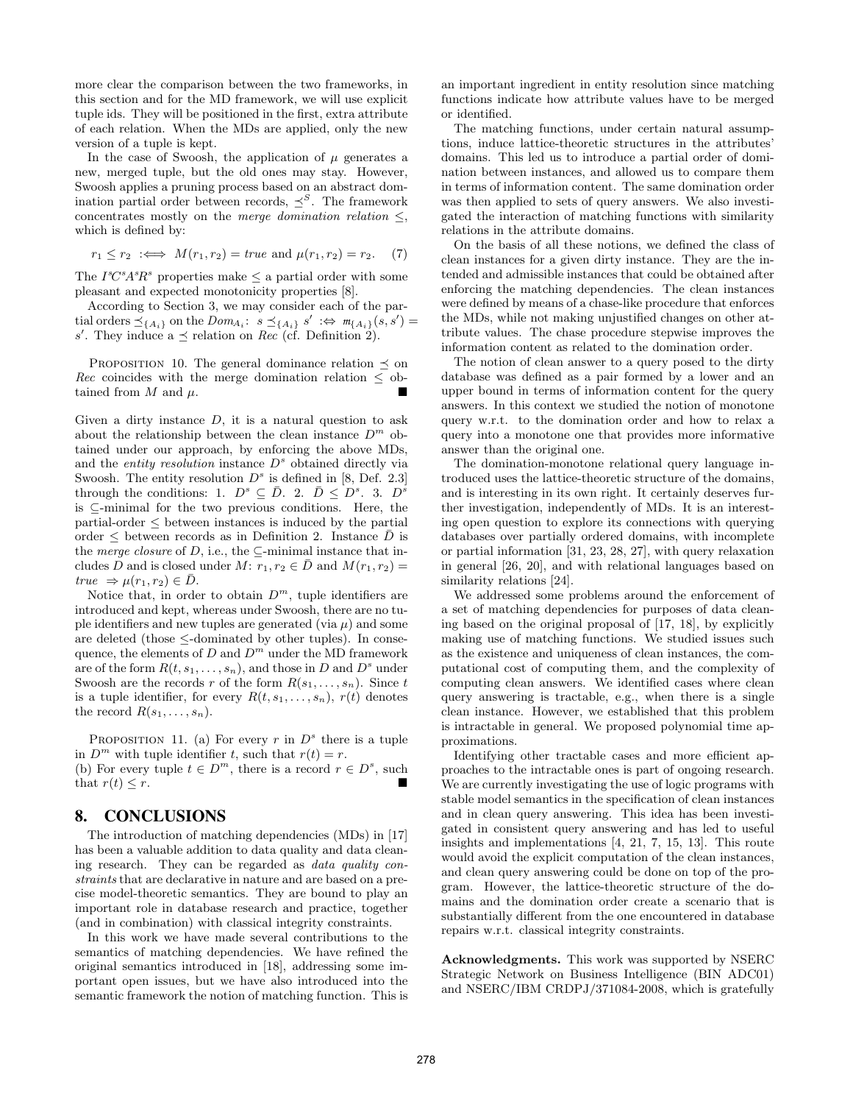more clear the comparison between the two frameworks, in this section and for the MD framework, we will use explicit tuple ids. They will be positioned in the first, extra attribute of each relation. When the MDs are applied, only the new version of a tuple is kept.

In the case of Swoosh, the application of  $\mu$  generates a new, merged tuple, but the old ones may stay. However, Swoosh applies a pruning process based on an abstract domination partial order between records,  $\preceq^S$ . The framework concentrates mostly on the merge domination relation  $\leq$ , which is defined by:

$$
r_1 \leq r_2 \iff M(r_1, r_2) = \text{true} \text{ and } \mu(r_1, r_2) = r_2. \tag{7}
$$

The  $I^s C^s A^s R^s$  properties make  $\leq$  a partial order with some pleasant and expected monotonicity properties [8].

According to Section 3, we may consider each of the partial orders  $\preceq_{\{A_i\}}$  on the  $Dom_{A_i}: s \preceq_{\{A_i\}} s' : \Leftrightarrow m_{\{A_i\}}(s, s') =$ s'. They induce a  $\preceq$  relation on Rec (cf. Definition 2).

PROPOSITION 10. The general dominance relation  $\preceq$  on Rec coincides with the merge domination relation  $\leq$  obtained from  $M$  and  $\mu$ .

Given a dirty instance  $D$ , it is a natural question to ask about the relationship between the clean instance  $D^m$  obtained under our approach, by enforcing the above MDs, and the *entity resolution* instance  $D^s$  obtained directly via Swoosh. The entity resolution  $D^s$  is defined in [8, Def. 2.3] through the conditions: 1.  $D^s \subseteq \overline{D}$ . 2.  $\overline{D} \leq D^s$ . 3.  $D^s$ is ⊆-minimal for the two previous conditions. Here, the  $partial-order \leq between instances is induced by the partial$ order  $\leq$  between records as in Definition 2. Instance  $\bar{D}$  is the merge closure of D, i.e., the  $\subseteq$ -minimal instance that includes D and is closed under M:  $r_1, r_2 \in \overline{D}$  and  $M(r_1, r_2) =$  $true \Rightarrow \mu(r_1, r_2) \in \overline{D}$ .

Notice that, in order to obtain  $D^m$ , tuple identifiers are introduced and kept, whereas under Swoosh, there are no tuple identifiers and new tuples are generated (via  $\mu$ ) and some are deleted (those ≤-dominated by other tuples). In consequence, the elements of  $D$  and  $D^m$  under the MD framework are of the form  $R(t, s_1, \ldots, s_n)$ , and those in D and  $D^s$  under Swoosh are the records r of the form  $R(s_1, \ldots, s_n)$ . Since t is a tuple identifier, for every  $R(t, s_1, \ldots, s_n)$ ,  $r(t)$  denotes the record  $R(s_1, \ldots, s_n)$ .

PROPOSITION 11. (a) For every r in  $D^s$  there is a tuple in  $D^m$  with tuple identifier t, such that  $r(t) = r$ . (b) For every tuple  $t \in D^m$ , there is a record  $r \in D^s$ , such that  $r(t) \leq r$ .

#### 8. CONCLUSIONS

The introduction of matching dependencies (MDs) in [17] has been a valuable addition to data quality and data cleaning research. They can be regarded as data quality constraints that are declarative in nature and are based on a precise model-theoretic semantics. They are bound to play an important role in database research and practice, together (and in combination) with classical integrity constraints.

In this work we have made several contributions to the semantics of matching dependencies. We have refined the original semantics introduced in [18], addressing some important open issues, but we have also introduced into the semantic framework the notion of matching function. This is an important ingredient in entity resolution since matching functions indicate how attribute values have to be merged or identified.

The matching functions, under certain natural assumptions, induce lattice-theoretic structures in the attributes' domains. This led us to introduce a partial order of domination between instances, and allowed us to compare them in terms of information content. The same domination order was then applied to sets of query answers. We also investigated the interaction of matching functions with similarity relations in the attribute domains.

On the basis of all these notions, we defined the class of clean instances for a given dirty instance. They are the intended and admissible instances that could be obtained after enforcing the matching dependencies. The clean instances were defined by means of a chase-like procedure that enforces the MDs, while not making unjustified changes on other attribute values. The chase procedure stepwise improves the information content as related to the domination order.

The notion of clean answer to a query posed to the dirty database was defined as a pair formed by a lower and an upper bound in terms of information content for the query answers. In this context we studied the notion of monotone query w.r.t. to the domination order and how to relax a query into a monotone one that provides more informative answer than the original one.

The domination-monotone relational query language introduced uses the lattice-theoretic structure of the domains, and is interesting in its own right. It certainly deserves further investigation, independently of MDs. It is an interesting open question to explore its connections with querying databases over partially ordered domains, with incomplete or partial information [31, 23, 28, 27], with query relaxation in general [26, 20], and with relational languages based on similarity relations [24].

We addressed some problems around the enforcement of a set of matching dependencies for purposes of data cleaning based on the original proposal of [17, 18], by explicitly making use of matching functions. We studied issues such as the existence and uniqueness of clean instances, the computational cost of computing them, and the complexity of computing clean answers. We identified cases where clean query answering is tractable, e.g., when there is a single clean instance. However, we established that this problem is intractable in general. We proposed polynomial time approximations.

Identifying other tractable cases and more efficient approaches to the intractable ones is part of ongoing research. We are currently investigating the use of logic programs with stable model semantics in the specification of clean instances and in clean query answering. This idea has been investigated in consistent query answering and has led to useful insights and implementations [4, 21, 7, 15, 13]. This route would avoid the explicit computation of the clean instances, and clean query answering could be done on top of the program. However, the lattice-theoretic structure of the domains and the domination order create a scenario that is substantially different from the one encountered in database repairs w.r.t. classical integrity constraints.

Acknowledgments. This work was supported by NSERC Strategic Network on Business Intelligence (BIN ADC01) and NSERC/IBM CRDPJ/371084-2008, which is gratefully